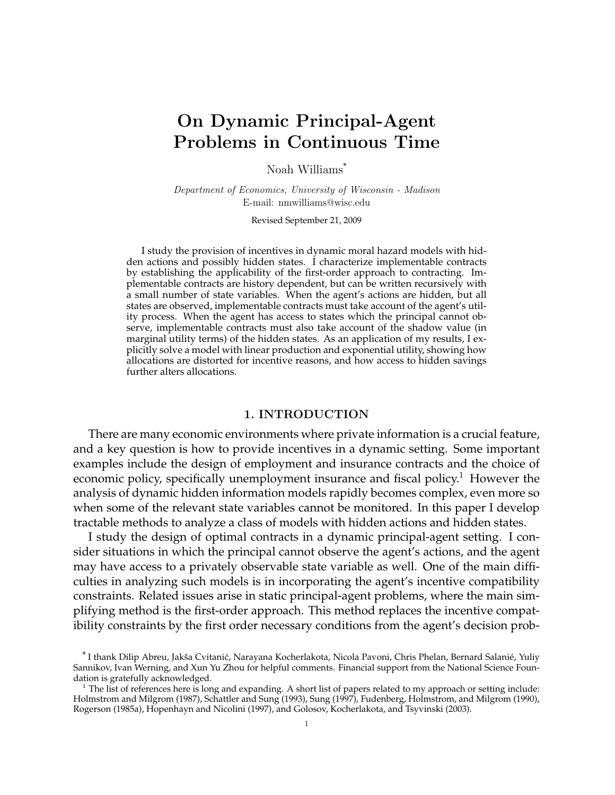# On Dynamic Principal-Agent Problems in Continuous Time

Noah Williams\*

Department of Economics, University of Wisconsin - Madison E-mail: nmwilliams@wisc.edu

Revised September 21, 2009

I study the provision of incentives in dynamic moral hazard models with hidden actions and possibly hidden states. I characterize implementable contracts by establishing the applicability of the first-order approach to contracting. Implementable contracts are history dependent, but can be written recursively with a small number of state variables. When the agent's actions are hidden, but all states are observed, implementable contracts must take account of the agent's utility process. When the agent has access to states which the principal cannot observe, implementable contracts must also take account of the shadow value (in marginal utility terms) of the hidden states. As an application of my results, I explicitly solve a model with linear production and exponential utility, showing how allocations are distorted for incentive reasons, and how access to hidden savings further alters allocations.

# 1. INTRODUCTION

There are many economic environments where private information is a crucial feature, and a key question is how to provide incentives in a dynamic setting. Some important examples include the design of employment and insurance contracts and the choice of economic policy, specifically unemployment insurance and fiscal policy.<sup>1</sup> However the analysis of dynamic hidden information models rapidly becomes complex, even more so when some of the relevant state variables cannot be monitored. In this paper I develop tractable methods to analyze a class of models with hidden actions and hidden states.

I study the design of optimal contracts in a dynamic principal-agent setting. I consider situations in which the principal cannot observe the agent's actions, and the agent may have access to a privately observable state variable as well. One of the main difficulties in analyzing such models is in incorporating the agent's incentive compatibility constraints. Related issues arise in static principal-agent problems, where the main simplifying method is the first-order approach. This method replaces the incentive compatibility constraints by the first order necessary conditions from the agent's decision prob-

<sup>\*</sup> I thank Dilip Abreu, Jakša Cvitanić, Narayana Kocherlakota, Nicola Pavoni, Chris Phelan, Bernard Salanié, Yuliy Sannikov, Ivan Werning, and Xun Yu Zhou for helpful comments. Financial support from the National Science Foundation is gratefully acknowledged.

 $1$  The list of references here is long and expanding. A short list of papers related to my approach or setting include: Holmstrom and Milgrom (1987), Schattler and Sung (1993), Sung (1997), Fudenberg, Holmstrom, and Milgrom (1990), Rogerson (1985a), Hopenhayn and Nicolini (1997), and Golosov, Kocherlakota, and Tsyvinski (2003).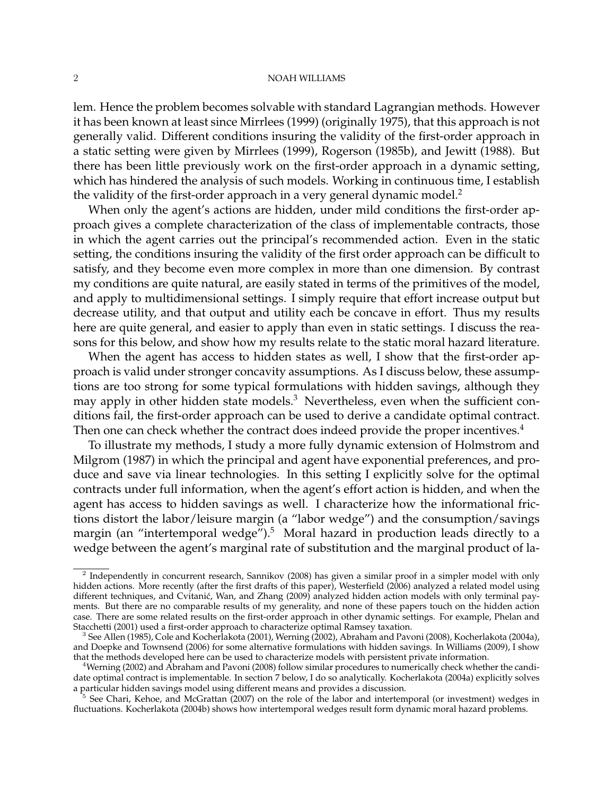lem. Hence the problem becomes solvable with standard Lagrangian methods. However it has been known at least since Mirrlees (1999) (originally 1975), that this approach is not generally valid. Different conditions insuring the validity of the first-order approach in a static setting were given by Mirrlees (1999), Rogerson (1985b), and Jewitt (1988). But there has been little previously work on the first-order approach in a dynamic setting, which has hindered the analysis of such models. Working in continuous time, I establish the validity of the first-order approach in a very general dynamic model.<sup>2</sup>

When only the agent's actions are hidden, under mild conditions the first-order approach gives a complete characterization of the class of implementable contracts, those in which the agent carries out the principal's recommended action. Even in the static setting, the conditions insuring the validity of the first order approach can be difficult to satisfy, and they become even more complex in more than one dimension. By contrast my conditions are quite natural, are easily stated in terms of the primitives of the model, and apply to multidimensional settings. I simply require that effort increase output but decrease utility, and that output and utility each be concave in effort. Thus my results here are quite general, and easier to apply than even in static settings. I discuss the reasons for this below, and show how my results relate to the static moral hazard literature.

When the agent has access to hidden states as well, I show that the first-order approach is valid under stronger concavity assumptions. As I discuss below, these assumptions are too strong for some typical formulations with hidden savings, although they may apply in other hidden state models.<sup>3</sup> Nevertheless, even when the sufficient conditions fail, the first-order approach can be used to derive a candidate optimal contract. Then one can check whether the contract does indeed provide the proper incentives.<sup>4</sup>

To illustrate my methods, I study a more fully dynamic extension of Holmstrom and Milgrom (1987) in which the principal and agent have exponential preferences, and produce and save via linear technologies. In this setting I explicitly solve for the optimal contracts under full information, when the agent's effort action is hidden, and when the agent has access to hidden savings as well. I characterize how the informational frictions distort the labor/leisure margin (a "labor wedge") and the consumption/savings margin (an "intertemporal wedge").<sup>5</sup> Moral hazard in production leads directly to a wedge between the agent's marginal rate of substitution and the marginal product of la-

<sup>&</sup>lt;sup>2</sup> Independently in concurrent research, Sannikov (2008) has given a similar proof in a simpler model with only hidden actions. More recently (after the first drafts of this paper), Westerfield (2006) analyzed a related model using different techniques, and Cvitanic, Wan, and Zhang (2009) analyzed hidden action models with only terminal pay- ´ ments. But there are no comparable results of my generality, and none of these papers touch on the hidden action case. There are some related results on the first-order approach in other dynamic settings. For example, Phelan and Stacchetti (2001) used a first-order approach to characterize optimal Ramsey taxation.

<sup>3</sup> See Allen (1985), Cole and Kocherlakota (2001), Werning (2002), Abraham and Pavoni (2008), Kocherlakota (2004a), and Doepke and Townsend (2006) for some alternative formulations with hidden savings. In Williams (2009), I show that the methods developed here can be used to characterize models with persistent private information.

<sup>&</sup>lt;sup>4</sup>Werning (2002) and Abraham and Pavoni (2008) follow similar procedures to numerically check whether the candidate optimal contract is implementable. In section 7 below, I do so analytically. Kocherlakota (2004a) explicitly solves a particular hidden savings model using different means and provides a discussion.

<sup>&</sup>lt;sup>5</sup> See Chari, Kehoe, and McGrattan (2007) on the role of the labor and intertemporal (or investment) wedges in fluctuations. Kocherlakota (2004b) shows how intertemporal wedges result form dynamic moral hazard problems.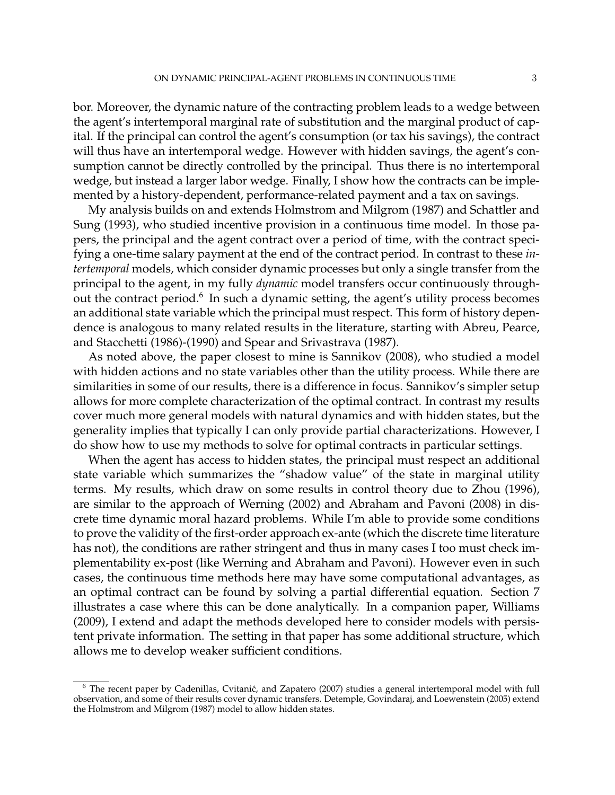bor. Moreover, the dynamic nature of the contracting problem leads to a wedge between the agent's intertemporal marginal rate of substitution and the marginal product of capital. If the principal can control the agent's consumption (or tax his savings), the contract will thus have an intertemporal wedge. However with hidden savings, the agent's consumption cannot be directly controlled by the principal. Thus there is no intertemporal wedge, but instead a larger labor wedge. Finally, I show how the contracts can be implemented by a history-dependent, performance-related payment and a tax on savings.

My analysis builds on and extends Holmstrom and Milgrom (1987) and Schattler and Sung (1993), who studied incentive provision in a continuous time model. In those papers, the principal and the agent contract over a period of time, with the contract specifying a one-time salary payment at the end of the contract period. In contrast to these *intertemporal* models, which consider dynamic processes but only a single transfer from the principal to the agent, in my fully *dynamic* model transfers occur continuously throughout the contract period. $6 \text{ In such a dynamic setting, the agent's utility process becomes}$ an additional state variable which the principal must respect. This form of history dependence is analogous to many related results in the literature, starting with Abreu, Pearce, and Stacchetti (1986)-(1990) and Spear and Srivastrava (1987).

As noted above, the paper closest to mine is Sannikov (2008), who studied a model with hidden actions and no state variables other than the utility process. While there are similarities in some of our results, there is a difference in focus. Sannikov's simpler setup allows for more complete characterization of the optimal contract. In contrast my results cover much more general models with natural dynamics and with hidden states, but the generality implies that typically I can only provide partial characterizations. However, I do show how to use my methods to solve for optimal contracts in particular settings.

When the agent has access to hidden states, the principal must respect an additional state variable which summarizes the "shadow value" of the state in marginal utility terms. My results, which draw on some results in control theory due to Zhou (1996), are similar to the approach of Werning (2002) and Abraham and Pavoni (2008) in discrete time dynamic moral hazard problems. While I'm able to provide some conditions to prove the validity of the first-order approach ex-ante (which the discrete time literature has not), the conditions are rather stringent and thus in many cases I too must check implementability ex-post (like Werning and Abraham and Pavoni). However even in such cases, the continuous time methods here may have some computational advantages, as an optimal contract can be found by solving a partial differential equation. Section 7 illustrates a case where this can be done analytically. In a companion paper, Williams (2009), I extend and adapt the methods developed here to consider models with persistent private information. The setting in that paper has some additional structure, which allows me to develop weaker sufficient conditions.

 $6$  The recent paper by Cadenillas, Cvitanić, and Zapatero (2007) studies a general intertemporal model with full observation, and some of their results cover dynamic transfers. Detemple, Govindaraj, and Loewenstein (2005) extend the Holmstrom and Milgrom (1987) model to allow hidden states.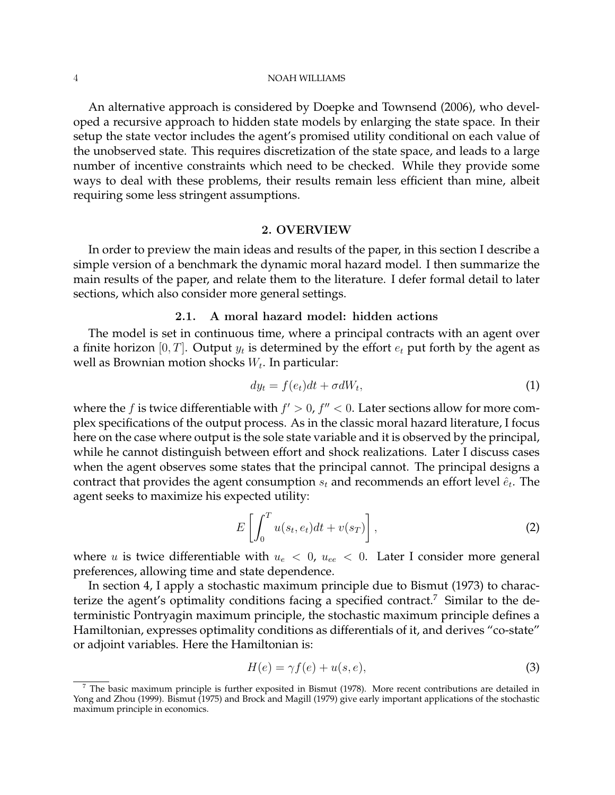An alternative approach is considered by Doepke and Townsend (2006), who developed a recursive approach to hidden state models by enlarging the state space. In their setup the state vector includes the agent's promised utility conditional on each value of the unobserved state. This requires discretization of the state space, and leads to a large number of incentive constraints which need to be checked. While they provide some ways to deal with these problems, their results remain less efficient than mine, albeit requiring some less stringent assumptions.

### 2. OVERVIEW

In order to preview the main ideas and results of the paper, in this section I describe a simple version of a benchmark the dynamic moral hazard model. I then summarize the main results of the paper, and relate them to the literature. I defer formal detail to later sections, which also consider more general settings.

# 2.1. A moral hazard model: hidden actions

The model is set in continuous time, where a principal contracts with an agent over a finite horizon [0, T]. Output  $y_t$  is determined by the effort  $e_t$  put forth by the agent as well as Brownian motion shocks  $W_t$ . In particular:

$$
dy_t = f(e_t)dt + \sigma dW_t, \tag{1}
$$

where the f is twice differentiable with  $f' > 0$ ,  $f'' < 0$ . Later sections allow for more complex specifications of the output process. As in the classic moral hazard literature, I focus here on the case where output is the sole state variable and it is observed by the principal, while he cannot distinguish between effort and shock realizations. Later I discuss cases when the agent observes some states that the principal cannot. The principal designs a contract that provides the agent consumption  $s_t$  and recommends an effort level  $\hat{e}_t$ . The agent seeks to maximize his expected utility:

$$
E\left[\int_0^T u(s_t, e_t)dt + v(s_T)\right],
$$
\n(2)

where *u* is twice differentiable with  $u_e < 0$ ,  $u_{ee} < 0$ . Later I consider more general preferences, allowing time and state dependence.

In section 4, I apply a stochastic maximum principle due to Bismut (1973) to characterize the agent's optimality conditions facing a specified contract.<sup>7</sup> Similar to the deterministic Pontryagin maximum principle, the stochastic maximum principle defines a Hamiltonian, expresses optimality conditions as differentials of it, and derives "co-state" or adjoint variables. Here the Hamiltonian is:

$$
H(e) = \gamma f(e) + u(s, e),\tag{3}
$$

 $7$  The basic maximum principle is further exposited in Bismut (1978). More recent contributions are detailed in Yong and Zhou (1999). Bismut (1975) and Brock and Magill (1979) give early important applications of the stochastic maximum principle in economics.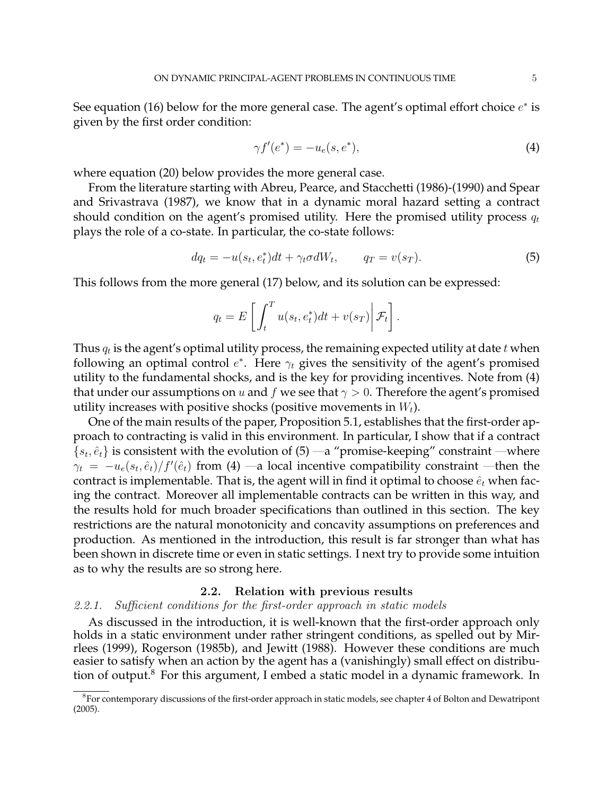See equation (16) below for the more general case. The agent's optimal effort choice  $e^*$  is given by the first order condition:

$$
\gamma f'(e^*) = -u_e(s, e^*),\tag{4}
$$

where equation (20) below provides the more general case.

From the literature starting with Abreu, Pearce, and Stacchetti (1986)-(1990) and Spear and Srivastrava (1987), we know that in a dynamic moral hazard setting a contract should condition on the agent's promised utility. Here the promised utility process  $q_t$ plays the role of a co-state. In particular, the co-state follows:

$$
dq_t = -u(s_t, e_t^*)dt + \gamma_t \sigma dW_t, \qquad q_T = v(s_T). \tag{5}
$$

This follows from the more general (17) below, and its solution can be expressed:

$$
q_t = E\left[\int_t^T u(s_t, e_t^*)dt + v(s_T)\middle|\mathcal{F}_t\right].
$$

Thus  $q_t$  is the agent's optimal utility process, the remaining expected utility at date  $t$  when following an optimal control  $e^*$ . Here  $\gamma_t$  gives the sensitivity of the agent's promised utility to the fundamental shocks, and is the key for providing incentives. Note from (4) that under our assumptions on u and f we see that  $\gamma > 0$ . Therefore the agent's promised utility increases with positive shocks (positive movements in  $W_t$ ).

One of the main results of the paper, Proposition 5.1, establishes that the first-order approach to contracting is valid in this environment. In particular, I show that if a contract  $\{s_t, \hat{e}_t\}$  is consistent with the evolution of  $(5)$  —a "promise-keeping" constraint —where  $\gamma_t = -u_e(s_t, \hat{e}_t)/f'(\hat{e}_t)$  from (4) —a local incentive compatibility constraint —then the contract is implementable. That is, the agent will in find it optimal to choose  $\hat{e}_t$  when facing the contract. Moreover all implementable contracts can be written in this way, and the results hold for much broader specifications than outlined in this section. The key restrictions are the natural monotonicity and concavity assumptions on preferences and production. As mentioned in the introduction, this result is far stronger than what has been shown in discrete time or even in static settings. I next try to provide some intuition as to why the results are so strong here.

# 2.2. Relation with previous results

### 2.2.1. Sufficient conditions for the first-order approach in static models

As discussed in the introduction, it is well-known that the first-order approach only holds in a static environment under rather stringent conditions, as spelled out by Mirrlees (1999), Rogerson (1985b), and Jewitt (1988). However these conditions are much easier to satisfy when an action by the agent has a (vanishingly) small effect on distribution of output.<sup>8</sup> For this argument, I embed a static model in a dynamic framework. In

<sup>&</sup>lt;sup>8</sup> For contemporary discussions of the first-order approach in static models, see chapter 4 of Bolton and Dewatripont (2005).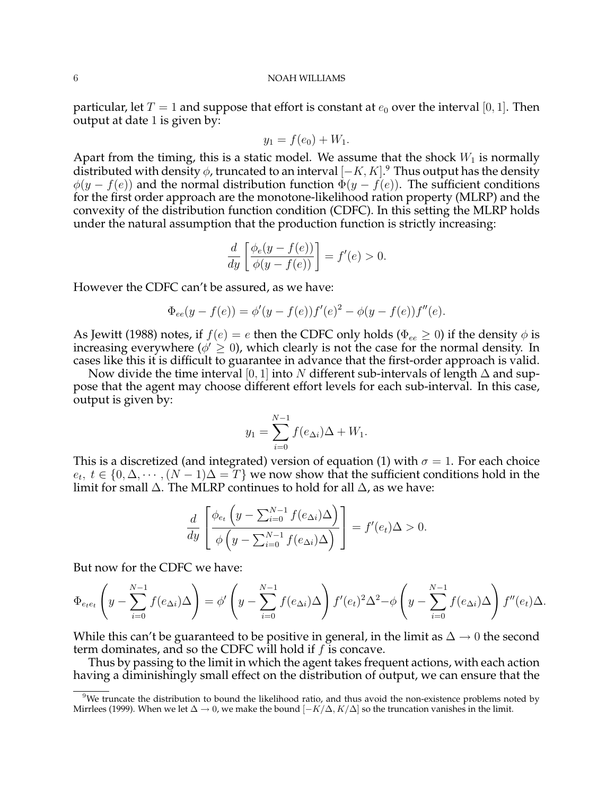particular, let  $T = 1$  and suppose that effort is constant at  $e_0$  over the interval [0, 1]. Then output at date 1 is given by:

$$
y_1 = f(e_0) + W_1.
$$

Apart from the timing, this is a static model. We assume that the shock  $W_1$  is normally distributed with density  $\phi$ , truncated to an interval  $[-K, K]$ .<sup>9</sup> Thus output has the density  $\phi(y - f(e))$  and the normal distribution function  $\dot{\Phi}(y - f(e))$ . The sufficient conditions for the first order approach are the monotone-likelihood ration property (MLRP) and the convexity of the distribution function condition (CDFC). In this setting the MLRP holds under the natural assumption that the production function is strictly increasing:

$$
\frac{d}{dy}\left[\frac{\phi_e(y-f(e))}{\phi(y-f(e))}\right] = f'(e) > 0.
$$

However the CDFC can't be assured, as we have:

$$
\Phi_{ee}(y - f(e)) = \phi'(y - f(e))f'(e)^{2} - \phi(y - f(e))f''(e).
$$

As Jewitt (1988) notes, if  $f(e) = e$  then the CDFC only holds ( $\Phi_{ee} \ge 0$ ) if the density  $\phi$  is increasing everywhere ( $\phi' \geq 0$ ), which clearly is not the case for the normal density. In cases like this it is difficult to guarantee in advance that the first-order approach is valid.

Now divide the time interval [0, 1] into N different sub-intervals of length  $\Delta$  and suppose that the agent may choose different effort levels for each sub-interval. In this case, output is given by:

$$
y_1 = \sum_{i=0}^{N-1} f(e_{\Delta i}) \Delta + W_1.
$$

This is a discretized (and integrated) version of equation (1) with  $\sigma = 1$ . For each choice  $e_t, t \in \{0, \Delta, \cdots, (N-1)\Delta = T\}$  we now show that the sufficient conditions hold in the limit for small  $\Delta$ . The MLRP continues to hold for all  $\Delta$ , as we have:

$$
\frac{d}{dy}\left[\frac{\phi_{e_t}\left(y-\sum_{i=0}^{N-1}f(e_{\Delta i})\Delta\right)}{\phi\left(y-\sum_{i=0}^{N-1}f(e_{\Delta i})\Delta\right)}\right] = f'(e_t)\Delta > 0.
$$

But now for the CDFC we have:

$$
\Phi_{e_{t}e_{t}}\left(y-\sum_{i=0}^{N-1}f(e_{\Delta i})\Delta\right)=\phi'\left(y-\sum_{i=0}^{N-1}f(e_{\Delta i})\Delta\right)f'(e_{t})^{2}\Delta^{2}-\phi\left(y-\sum_{i=0}^{N-1}f(e_{\Delta i})\Delta\right)f''(e_{t})\Delta.
$$

While this can't be guaranteed to be positive in general, in the limit as  $\Delta \to 0$  the second term dominates, and so the CDFC will hold if  $f$  is concave.

Thus by passing to the limit in which the agent takes frequent actions, with each action having a diminishingly small effect on the distribution of output, we can ensure that the

 $9$ We truncate the distribution to bound the likelihood ratio, and thus avoid the non-existence problems noted by Mirrlees (1999). When we let  $\Delta \to 0$ , we make the bound  $[-K/\Delta, K/\Delta]$  so the truncation vanishes in the limit.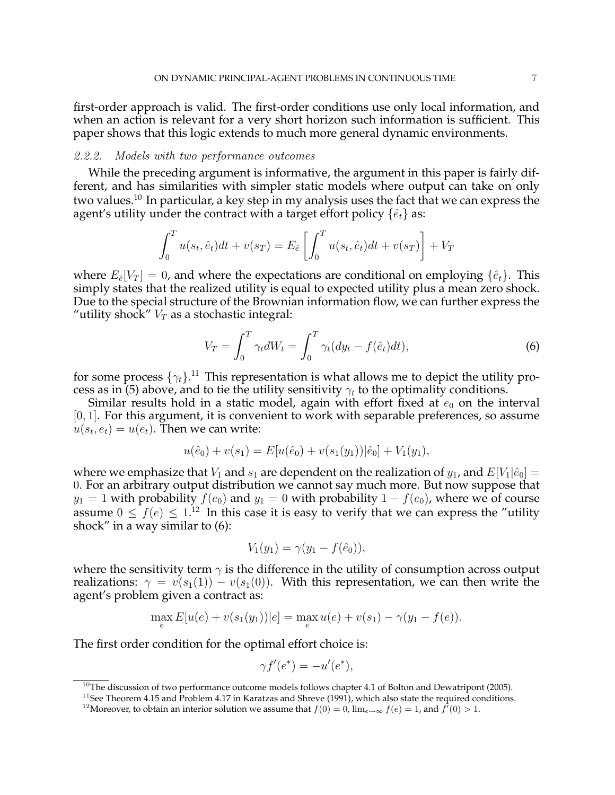first-order approach is valid. The first-order conditions use only local information, and when an action is relevant for a very short horizon such information is sufficient. This paper shows that this logic extends to much more general dynamic environments.

# 2.2.2. Models with two performance outcomes

While the preceding argument is informative, the argument in this paper is fairly different, and has similarities with simpler static models where output can take on only two values.<sup>10</sup> In particular, a key step in my analysis uses the fact that we can express the agent's utility under the contract with a target effort policy  $\{\hat{e}_t\}$  as:

$$
\int_0^T u(s_t, \hat{e}_t) dt + v(s_T) = E_{\hat{e}} \left[ \int_0^T u(s_t, \hat{e}_t) dt + v(s_T) \right] + V_T
$$

where  $E_{\hat{e}}[V_T] = 0$ , and where the expectations are conditional on employing  $\{\hat{e}_t\}$ . This simply states that the realized utility is equal to expected utility plus a mean zero shock. Due to the special structure of the Brownian information flow, we can further express the "utility shock"  $V_T$  as a stochastic integral:

$$
V_T = \int_0^T \gamma_t dW_t = \int_0^T \gamma_t (dy_t - f(\hat{e}_t) dt), \tag{6}
$$

for some process  $\{\gamma_t\}$ .<sup>11</sup> This representation is what allows me to depict the utility process as in (5) above, and to tie the utility sensitivity  $\gamma_t$  to the optimality conditions.

Similar results hold in a static model, again with effort fixed at  $e_0$  on the interval  $[0, 1]$ . For this argument, it is convenient to work with separable preferences, so assume  $u(s_t, e_t) = u(e_t)$ . Then we can write:

$$
u(\hat{e}_0) + v(s_1) = E[u(\hat{e}_0) + v(s_1(y_1)) | \hat{e}_0] + V_1(y_1),
$$

where we emphasize that  $V_1$  and  $s_1$  are dependent on the realization of  $y_1$ , and  $E[V_1|\hat{e}_0] =$ 0. For an arbitrary output distribution we cannot say much more. But now suppose that  $y_1 = 1$  with probability  $f(e_0)$  and  $y_1 = 0$  with probability  $1 - f(e_0)$ , where we of course assume  $0 \le f(e) \le 1$ .<sup>12</sup> In this case it is easy to verify that we can express the "utility" shock" in a way similar to (6):

$$
V_1(y_1) = \gamma(y_1 - f(\hat{e}_0)),
$$

where the sensitivity term  $\gamma$  is the difference in the utility of consumption across output realizations:  $\gamma = v(s_1(1)) - v(s_1(0))$ . With this representation, we can then write the agent's problem given a contract as:

$$
\max_{e} E[u(e) + v(s_1(y_1))|e] = \max_{e} u(e) + v(s_1) - \gamma(y_1 - f(e)).
$$

The first order condition for the optimal effort choice is:

$$
\gamma f'(e^*) = -u'(e^*),
$$

<sup>&</sup>lt;sup>10</sup>The discussion of two performance outcome models follows chapter 4.1 of Bolton and Dewatripont (2005).

 $11$ See Theorem 4.15 and Problem 4.17 in Karatzas and Shreve (1991), which also state the required conditions.

<sup>&</sup>lt;sup>12</sup>Moreover, to obtain an interior solution we assume that  $f(0) = 0$ ,  $\lim_{e\to\infty} f(e) = 1$ , and  $f'(0) > 1$ .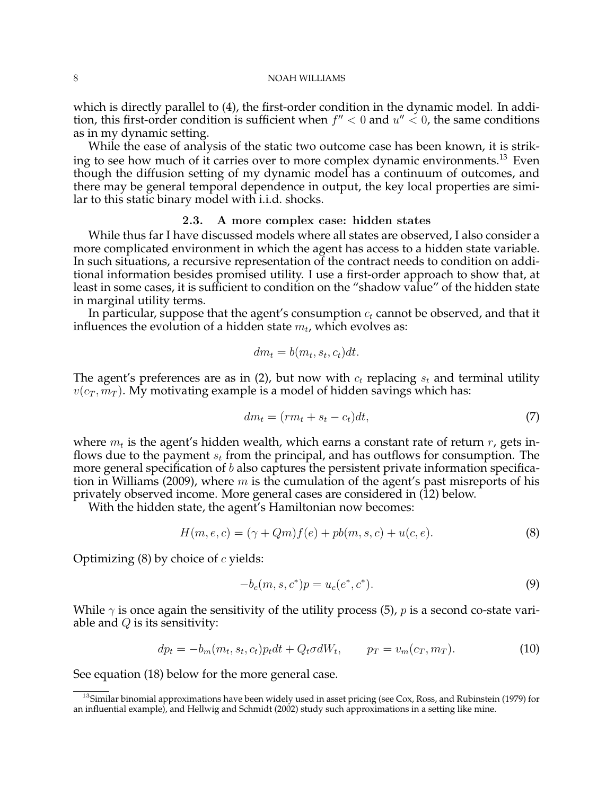which is directly parallel to (4), the first-order condition in the dynamic model. In addition, this first-order condition is sufficient when  $f'' < 0$  and  $u'' < 0$ , the same conditions as in my dynamic setting.

While the ease of analysis of the static two outcome case has been known, it is striking to see how much of it carries over to more complex dynamic environments.<sup>13</sup> Even though the diffusion setting of my dynamic model has a continuum of outcomes, and there may be general temporal dependence in output, the key local properties are similar to this static binary model with i.i.d. shocks.

# 2.3. A more complex case: hidden states

While thus far I have discussed models where all states are observed, I also consider a more complicated environment in which the agent has access to a hidden state variable. In such situations, a recursive representation of the contract needs to condition on additional information besides promised utility. I use a first-order approach to show that, at least in some cases, it is sufficient to condition on the "shadow value" of the hidden state in marginal utility terms.

In particular, suppose that the agent's consumption  $c_t$  cannot be observed, and that it influences the evolution of a hidden state  $m_t$ , which evolves as:

$$
dm_t = b(m_t, s_t, c_t)dt.
$$

The agent's preferences are as in (2), but now with  $c_t$  replacing  $s_t$  and terminal utility  $v(c_T, m_T)$ . My motivating example is a model of hidden savings which has:

$$
dm_t = (rm_t + s_t - c_t)dt,\t\t(7)
$$

where  $m_t$  is the agent's hidden wealth, which earns a constant rate of return  $r$ , gets inflows due to the payment  $s_t$  from the principal, and has outflows for consumption. The more general specification of  $b$  also captures the persistent private information specification in Williams (2009), where  $m$  is the cumulation of the agent's past misreports of his privately observed income. More general cases are considered in (12) below.

With the hidden state, the agent's Hamiltonian now becomes:

$$
H(m, e, c) = (\gamma + Qm)f(e) + pb(m, s, c) + u(c, e).
$$
\n(8)

Optimizing  $(8)$  by choice of c yields:

$$
-b_c(m, s, c^*)p = u_c(e^*, c^*).
$$
\n(9)

While  $\gamma$  is once again the sensitivity of the utility process (5), p is a second co-state variable and  $Q$  is its sensitivity:

$$
dp_t = -b_m(m_t, s_t, c_t)p_t dt + Q_t \sigma dW_t, \qquad p_T = v_m(c_T, m_T). \tag{10}
$$

See equation (18) below for the more general case.

 $13$ Similar binomial approximations have been widely used in asset pricing (see Cox, Ross, and Rubinstein (1979) for an influential example), and Hellwig and Schmidt (2002) study such approximations in a setting like mine.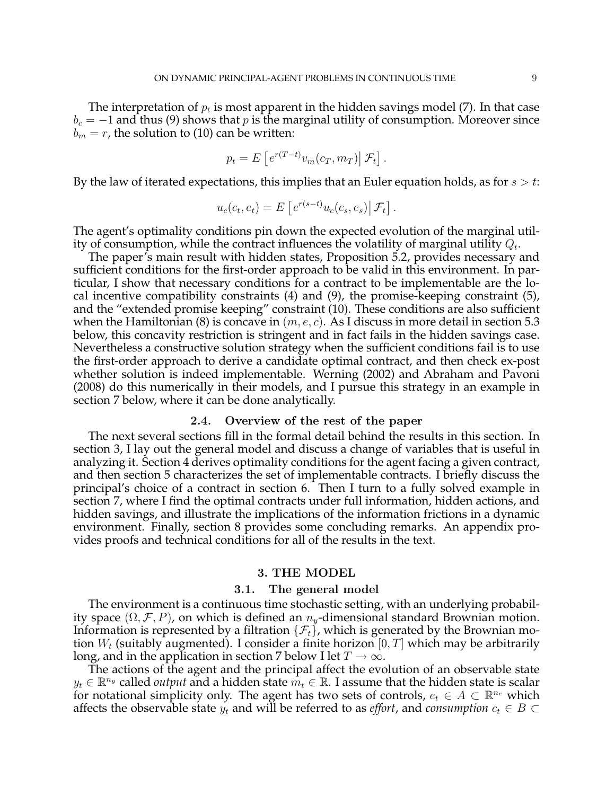The interpretation of  $p_t$  is most apparent in the hidden savings model (7). In that case  $b_c = -1$  and thus (9) shows that p is the marginal utility of consumption. Moreover since  $b_m = r$ , the solution to (10) can be written:

$$
p_t = E\left[e^{r(T-t)}v_m(c_T, m_T)\middle|\mathcal{F}_t\right].
$$

By the law of iterated expectations, this implies that an Euler equation holds, as for  $s > t$ :

$$
u_c(c_t, e_t) = E\left[e^{r(s-t)}u_c(c_s, e_s)\middle|\mathcal{F}_t\right].
$$

The agent's optimality conditions pin down the expected evolution of the marginal utility of consumption, while the contract influences the volatility of marginal utility  $Q_t$ .

The paper's main result with hidden states, Proposition 5.2, provides necessary and sufficient conditions for the first-order approach to be valid in this environment. In particular, I show that necessary conditions for a contract to be implementable are the local incentive compatibility constraints (4) and (9), the promise-keeping constraint (5), and the "extended promise keeping" constraint (10). These conditions are also sufficient when the Hamiltonian (8) is concave in  $(m, e, c)$ . As I discuss in more detail in section 5.3 below, this concavity restriction is stringent and in fact fails in the hidden savings case. Nevertheless a constructive solution strategy when the sufficient conditions fail is to use the first-order approach to derive a candidate optimal contract, and then check ex-post whether solution is indeed implementable. Werning (2002) and Abraham and Pavoni (2008) do this numerically in their models, and I pursue this strategy in an example in section 7 below, where it can be done analytically.

# 2.4. Overview of the rest of the paper

The next several sections fill in the formal detail behind the results in this section. In section 3, I lay out the general model and discuss a change of variables that is useful in analyzing it. Section 4 derives optimality conditions for the agent facing a given contract, and then section 5 characterizes the set of implementable contracts. I briefly discuss the principal's choice of a contract in section 6. Then I turn to a fully solved example in section 7, where I find the optimal contracts under full information, hidden actions, and hidden savings, and illustrate the implications of the information frictions in a dynamic environment. Finally, section 8 provides some concluding remarks. An appendix provides proofs and technical conditions for all of the results in the text.

### 3. THE MODEL

### 3.1. The general model

The environment is a continuous time stochastic setting, with an underlying probability space  $(\Omega, \mathcal{F}, P)$ , on which is defined an  $n_y$ -dimensional standard Brownian motion. Information is represented by a filtration  $\{\mathcal{F}_t\}$ , which is generated by the Brownian motion  $W_t$  (suitably augmented). I consider a finite horizon  $[0, T]$  which may be arbitrarily long, and in the application in section 7 below I let  $T \to \infty$ .

The actions of the agent and the principal affect the evolution of an observable state  $y_t \in \mathbb{R}^{n_y}$  called *output* and a hidden state  $m_t \in \mathbb{R}$ . I assume that the hidden state is scalar for notational simplicity only. The agent has two sets of controls,  $e_t \in A \subset \mathbb{R}^{n_e}$  which affects the observable state  $y_t$  and will be referred to as *effort*, and *consumption*  $c_t \in B \subset$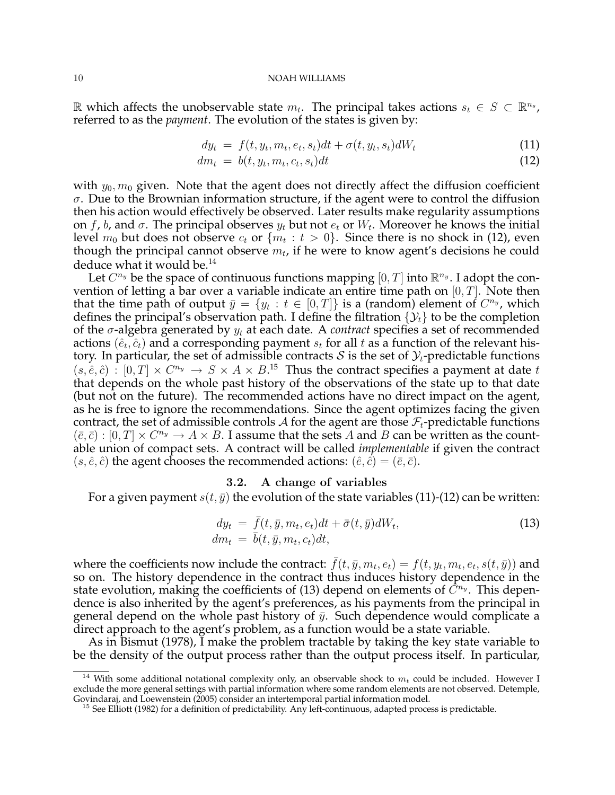R which affects the unobservable state  $m_t$ . The principal takes actions  $s_t$  ∈  $S$  ⊂  $\mathbb{R}^{n_s}$ , referred to as the *payment*. The evolution of the states is given by:

$$
dy_t = f(t, y_t, m_t, e_t, s_t)dt + \sigma(t, y_t, s_t)dW_t
$$
\n(11)

$$
dm_t = b(t, y_t, m_t, c_t, s_t)dt
$$
\n(12)

with  $y_0$ ,  $m_0$  given. Note that the agent does not directly affect the diffusion coefficient  $\sigma$ . Due to the Brownian information structure, if the agent were to control the diffusion then his action would effectively be observed. Later results make regularity assumptions on f, b, and  $\sigma$ . The principal observes  $y_t$  but not  $e_t$  or  $W_t$ . Moreover he knows the initial level  $m_0$  but does not observe  $c_t$  or  $\{m_t \, : \, t \, > \, 0\}.$  Since there is no shock in (12), even though the principal cannot observe  $m_t$ , if he were to know agent's decisions he could deduce what it would be.<sup>14</sup>

Let  $C^{n_y}$  be the space of continuous functions mapping  $[0, T]$  into  $\mathbb{R}^{n_y}$ . I adopt the convention of letting a bar over a variable indicate an entire time path on  $[0, T]$ . Note then that the time path of output  $\bar{y} = \{y_t : t \in [0,T]\}$  is a (random) element of  $C^{n_y}$ , which defines the principal's observation path. I define the filtration  $\{\mathcal{Y}_t\}$  to be the completion of the  $\sigma$ -algebra generated by  $y_t$  at each date. A *contract* specifies a set of recommended actions  $(\hat{e}_t, \hat{c}_t)$  and a corresponding payment  $s_t$  for all  $t$  as a function of the relevant history. In particular, the set of admissible contracts S is the set of  $\mathcal{Y}_t$ -predictable functions  $(s, \hat{e}, \hat{c})$ :  $[0, T] \times C^{n_y} \rightarrow S \times A \times B$ <sup>15</sup>. Thus the contract specifies a payment at date t that depends on the whole past history of the observations of the state up to that date (but not on the future). The recommended actions have no direct impact on the agent, as he is free to ignore the recommendations. Since the agent optimizes facing the given contract, the set of admissible controls A for the agent are those  $\mathcal{F}_t$ -predictable functions  $(\bar{e}, \bar{c}) : [0, T] \times C^{n_y} \to A \times B$ . I assume that the sets A and B can be written as the countable union of compact sets. A contract will be called *implementable* if given the contract  $(s, \hat{e}, \hat{c})$  the agent chooses the recommended actions:  $(\hat{e}, \hat{c}) = (\bar{e}, \bar{c})$ .

### 3.2. A change of variables

For a given payment  $s(t, \bar{y})$  the evolution of the state variables (11)-(12) can be written:

$$
dy_t = \bar{f}(t, \bar{y}, m_t, e_t)dt + \bar{\sigma}(t, \bar{y})dW_t,
$$
  
\n
$$
dm_t = \bar{b}(t, \bar{y}, m_t, c_t)dt,
$$
\n(13)

where the coefficients now include the contract:  $\bar{f}(t,\bar{y},m_t,e_t) = f(t,y_t,m_t,e_t,s(t,\bar{y}))$  and so on. The history dependence in the contract thus induces history dependence in the state evolution, making the coefficients of (13) depend on elements of  $\tilde{C}^{n_y}$ . This dependence is also inherited by the agent's preferences, as his payments from the principal in general depend on the whole past history of  $\bar{y}$ . Such dependence would complicate a direct approach to the agent's problem, as a function would be a state variable.

As in Bismut (1978), I make the problem tractable by taking the key state variable to be the density of the output process rather than the output process itself. In particular,

<sup>&</sup>lt;sup>14</sup> With some additional notational complexity only, an observable shock to  $m_t$  could be included. However I exclude the more general settings with partial information where some random elements are not observed. Detemple, Govindaraj, and Loewenstein (2005) consider an intertemporal partial information model.

 $15$  See Elliott (1982) for a definition of predictability. Any left-continuous, adapted process is predictable.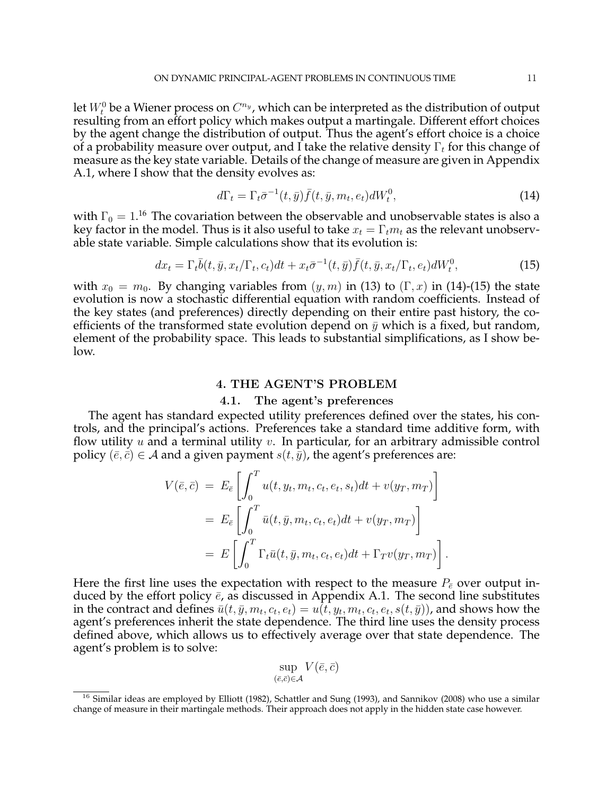let  $W_t^0$  be a Wiener process on  $C^{n_y}$ , which can be interpreted as the distribution of output resulting from an effort policy which makes output a martingale. Different effort choices by the agent change the distribution of output. Thus the agent's effort choice is a choice of a probability measure over output, and I take the relative density  $\Gamma_t$  for this change of measure as the key state variable. Details of the change of measure are given in Appendix A.1, where I show that the density evolves as:

$$
d\Gamma_t = \Gamma_t \bar{\sigma}^{-1}(t, \bar{y}) \bar{f}(t, \bar{y}, m_t, e_t) dW_t^0, \qquad (14)
$$

with  $\Gamma_0 = 1$ .<sup>16</sup> The covariation between the observable and unobservable states is also a key factor in the model. Thus is it also useful to take  $x_t = \Gamma_t m_t$  as the relevant unobservable state variable. Simple calculations show that its evolution is:

$$
dx_t = \Gamma_t \overline{b}(t, \overline{y}, x_t/\Gamma_t, c_t)dt + x_t \overline{\sigma}^{-1}(t, \overline{y})\overline{f}(t, \overline{y}, x_t/\Gamma_t, e_t)dW_t^0, \tag{15}
$$

with  $x_0 = m_0$ . By changing variables from  $(y, m)$  in (13) to  $(\Gamma, x)$  in (14)-(15) the state evolution is now a stochastic differential equation with random coefficients. Instead of the key states (and preferences) directly depending on their entire past history, the coefficients of the transformed state evolution depend on  $\bar{y}$  which is a fixed, but random, element of the probability space. This leads to substantial simplifications, as I show below.

### 4. THE AGENT'S PROBLEM

### 4.1. The agent's preferences

The agent has standard expected utility preferences defined over the states, his controls, and the principal's actions. Preferences take a standard time additive form, with flow utility  $u$  and a terminal utility  $v$ . In particular, for an arbitrary admissible control policy  $(\bar{e}, \bar{c}) \in A$  and a given payment  $s(t, \bar{y})$ , the agent's preferences are:

$$
V(\bar{e}, \bar{c}) = E_{\bar{e}} \left[ \int_0^T u(t, y_t, m_t, c_t, e_t, s_t) dt + v(y_T, m_T) \right]
$$
  
=  $E_{\bar{e}} \left[ \int_0^T \bar{u}(t, \bar{y}, m_t, c_t, e_t) dt + v(y_T, m_T) \right]$   
=  $E \left[ \int_0^T \Gamma_t \bar{u}(t, \bar{y}, m_t, c_t, e_t) dt + \Gamma_T v(y_T, m_T) \right].$ 

Here the first line uses the expectation with respect to the measure  $P_{\varepsilon}$  over output induced by the effort policy  $\bar{e}$ , as discussed in Appendix A.1. The second line substitutes in the contract and defines  $\bar{u}(t,\bar{y},m_t,c_t,e_t) = u(\bar{t},y_t,m_t,c_t,e_t,s(t,\bar{y}))$ , and shows how the agent's preferences inherit the state dependence. The third line uses the density process defined above, which allows us to effectively average over that state dependence. The agent's problem is to solve:

$$
\sup_{(\bar{e},\bar{c})\in\mathcal{A}} V(\bar{e},\bar{c})
$$

 $16$  Similar ideas are employed by Elliott (1982), Schattler and Sung (1993), and Sannikov (2008) who use a similar change of measure in their martingale methods. Their approach does not apply in the hidden state case however.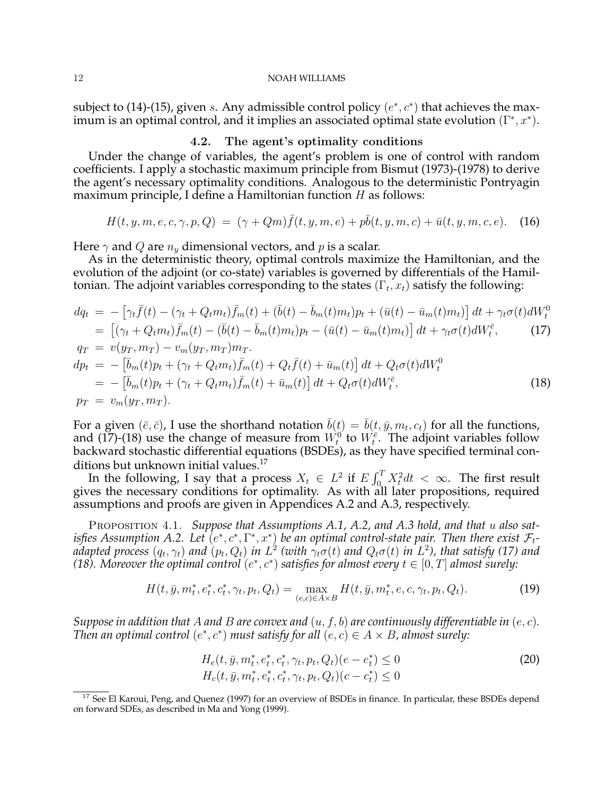subject to (14)-(15), given s. Any admissible control policy  $(e^*, c^*)$  that achieves the maximum is an optimal control, and it implies an associated optimal state evolution  $(\Gamma^*, x^*)$ .

# 4.2. The agent's optimality conditions

Under the change of variables, the agent's problem is one of control with random coefficients. I apply a stochastic maximum principle from Bismut (1973)-(1978) to derive the agent's necessary optimality conditions. Analogous to the deterministic Pontryagin maximum principle, I define a Hamiltonian function  $H$  as follows:

$$
H(t, y, m, e, c, \gamma, p, Q) = (\gamma + Qm)\bar{f}(t, y, m, e) + p\bar{b}(t, y, m, c) + \bar{u}(t, y, m, c, e).
$$
 (16)

Here  $\gamma$  and Q are  $n_{y}$  dimensional vectors, and p is a scalar.

As in the deterministic theory, optimal controls maximize the Hamiltonian, and the evolution of the adjoint (or co-state) variables is governed by differentials of the Hamiltonian. The adjoint variables corresponding to the states  $(\Gamma_t, x_t)$  satisfy the following:

$$
dq_{t} = -[\gamma_{t}\bar{f}(t) - (\gamma_{t} + Q_{t}m_{t})\bar{f}_{m}(t) + (\bar{b}(t) - \bar{b}_{m}(t)m_{t})p_{t} + (\bar{u}(t) - \bar{u}_{m}(t)m_{t})] dt + \gamma_{t}\sigma(t)dW_{t}^{0}
$$
  
\n
$$
= [(\gamma_{t} + Q_{t}m_{t})\bar{f}_{m}(t) - (\bar{b}(t) - \bar{b}_{m}(t)m_{t})p_{t} - (\bar{u}(t) - \bar{u}_{m}(t)m_{t})] dt + \gamma_{t}\sigma(t)dW_{t}^{\bar{e}}, \qquad (17)
$$
  
\n
$$
q_{T} = v(y_{T}, m_{T}) - v_{m}(y_{T}, m_{T})m_{T}.
$$
  
\n
$$
dp_{t} = -[\bar{b}_{m}(t)p_{t} + (\gamma_{t} + Q_{t}m_{t})\bar{f}_{m}(t) + Q_{t}\bar{f}(t) + \bar{u}_{m}(t)] dt + Q_{t}\sigma(t)dW_{t}^{0}
$$
  
\n
$$
= -[\bar{b}_{m}(t)p_{t} + (\gamma_{t} + Q_{t}m_{t})\bar{f}_{m}(t) + \bar{u}_{m}(t)] dt + Q_{t}\sigma(t)dW_{t}^{\bar{e}}, \qquad (18)
$$
  
\n
$$
p_{T} = v_{m}(y_{T}, m_{T}).
$$

For a given  $(\bar{e}, \bar{c})$ , I use the shorthand notation  $\bar{b}(t) = \bar{b}(t, \bar{y}, m_t, c_t)$  for all the functions, and (17)-(18) use the change of measure from  $W_t^0$  to  $W_t^{\overline{e}}$ . The adjoint variables follow backward stochastic differential equations (BSDEs), as they have specified terminal conditions but unknown initial values.<sup>17</sup>

ions but unknown initial values.<sup>17</sup><br>In the following, I say that a process  $X_t \in L^2$  if  $E \int_0^T$  $\int_{0}^{T} X_t^2 dt < \infty$ . The first result gives the necessary conditions for optimality. As with all later propositions, required assumptions and proofs are given in Appendices A.2 and A.3, respectively.

PROPOSITION 4.1. Suppose that Assumptions A.1, A.2, and A.3 hold, and that u also satisfies Assumption A.2. Let  $(e^*, c^*, \Gamma^*, x^*)$  be an optimal control-state pair. Then there exist  $\mathcal{F}_t$ adapted process  $(q_t, \gamma_t)$  and  $(p_t, Q_t)$  in  $L^2$  (with  $\gamma_t\sigma(t)$  and  $Q_t\sigma(t)$  in  $L^2$ ), that satisfy (17) and (18). Moreover the optimal control  $(e^*, c^*)$  satisfies for almost every  $t \in [0, T]$  almost surely:

$$
H(t, \bar{y}, m_t^*, e_t^*, c_t^*, \gamma_t, p_t, Q_t) = \max_{(e, c) \in A \times B} H(t, \bar{y}, m_t^*, e, c, \gamma_t, p_t, Q_t).
$$
 (19)

*Suppose in addition that* A *and* B *are convex and* (u, f, b) *are continuously differentiable in* (e, c)*. Then an optimal control*  $(e^*, c^*)$  *must satisfy for all*  $(e, c) \in A \times B$ , almost surely:

$$
H_e(t, \bar{y}, m_t^*, e_t^*, c_t^*, \gamma_t, p_t, Q_t)(e - e_t^*) \le 0
$$
  
\n
$$
H_c(t, \bar{y}, m_t^*, e_t^*, c_t^*, \gamma_t, p_t, Q_t)(c - c_t^*) \le 0
$$
\n(20)

<sup>&</sup>lt;sup>17</sup> See El Karoui, Peng, and Quenez (1997) for an overview of BSDEs in finance. In particular, these BSDEs depend on forward SDEs, as described in Ma and Yong (1999).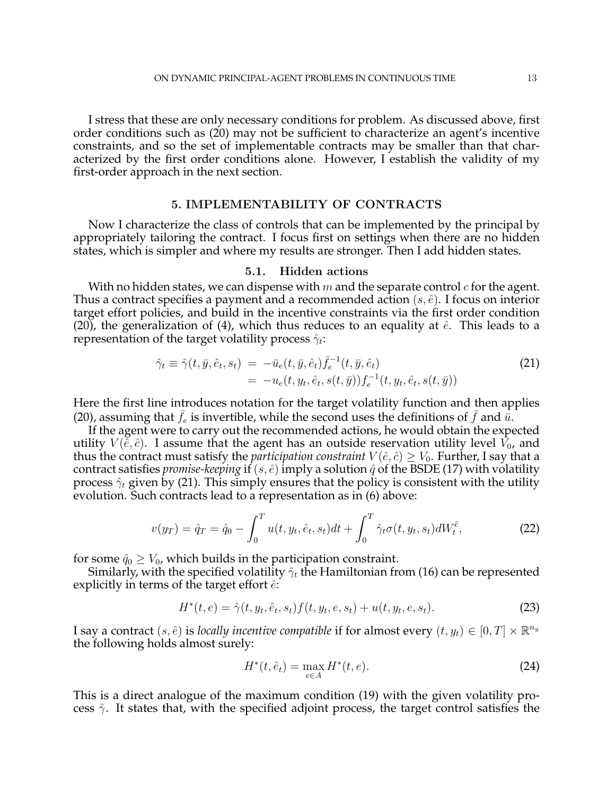I stress that these are only necessary conditions for problem. As discussed above, first order conditions such as (20) may not be sufficient to characterize an agent's incentive constraints, and so the set of implementable contracts may be smaller than that characterized by the first order conditions alone. However, I establish the validity of my first-order approach in the next section.

# 5. IMPLEMENTABILITY OF CONTRACTS

Now I characterize the class of controls that can be implemented by the principal by appropriately tailoring the contract. I focus first on settings when there are no hidden states, which is simpler and where my results are stronger. Then I add hidden states.

# 5.1. Hidden actions

With no hidden states, we can dispense with m and the separate control  $c$  for the agent. Thus a contract specifies a payment and a recommended action  $(s, \hat{e})$ . I focus on interior target effort policies, and build in the incentive constraints via the first order condition (20), the generalization of (4), which thus reduces to an equality at  $\hat{e}$ . This leads to a representation of the target volatility process  $\hat{\gamma}_t$ :

$$
\hat{\gamma}_t \equiv \hat{\gamma}(t, \bar{y}, \hat{e}_t, s_t) = -\bar{u}_e(t, \bar{y}, \hat{e}_t) \bar{f}_e^{-1}(t, \bar{y}, \hat{e}_t) \n= -u_e(t, y_t, \hat{e}_t, s(t, \bar{y})) f_e^{-1}(t, y_t, \hat{e}_t, s(t, \bar{y}))
$$
\n(21)

Here the first line introduces notation for the target volatility function and then applies (20), assuming that  $f_e$  is invertible, while the second uses the definitions of f and  $\bar{u}$ .

If the agent were to carry out the recommended actions, he would obtain the expected utility  $V(\hat{e}, \hat{c})$ . I assume that the agent has an outside reservation utility level  $V_0$ , and thus the contract must satisfy the *participation constraint*  $V(\hat{e}, \hat{c}) \geq V_0$ . Further, I say that a contract satisfies *promise-keeping* if  $(s, \hat{e})$  imply a solution  $\hat{q}$  of the BSDE (17) with volatility process  $\hat{\gamma}_t$  given by (21). This simply ensures that the policy is consistent with the utility evolution. Such contracts lead to a representation as in (6) above:

$$
v(y_T) = \hat{q}_T = \hat{q}_0 - \int_0^T u(t, y_t, \hat{e}_t, s_t) dt + \int_0^T \hat{\gamma}_t \sigma(t, y_t, s_t) dW_t^{\hat{e}}, \tag{22}
$$

for some  $\hat{q}_0 \geq V_0$ , which builds in the participation constraint.

Similarly, with the specified volatility  $\hat{\gamma}_t$  the Hamiltonian from (16) can be represented explicitly in terms of the target effort  $\hat{e}$ :

$$
H^*(t, e) = \hat{\gamma}(t, y_t, \hat{e}_t, s_t) f(t, y_t, e, s_t) + u(t, y_t, e, s_t).
$$
\n(23)

I say a contract  $(s, \hat{e})$  is *locally incentive compatible* if for almost every  $(t, y_t) \in [0, T] \times \mathbb{R}^{n_y}$ the following holds almost surely:

$$
H^*(t, \hat{e}_t) = \max_{e \in A} H^*(t, e).
$$
 (24)

This is a direct analogue of the maximum condition (19) with the given volatility process  $\hat{\gamma}$ . It states that, with the specified adjoint process, the target control satisfies the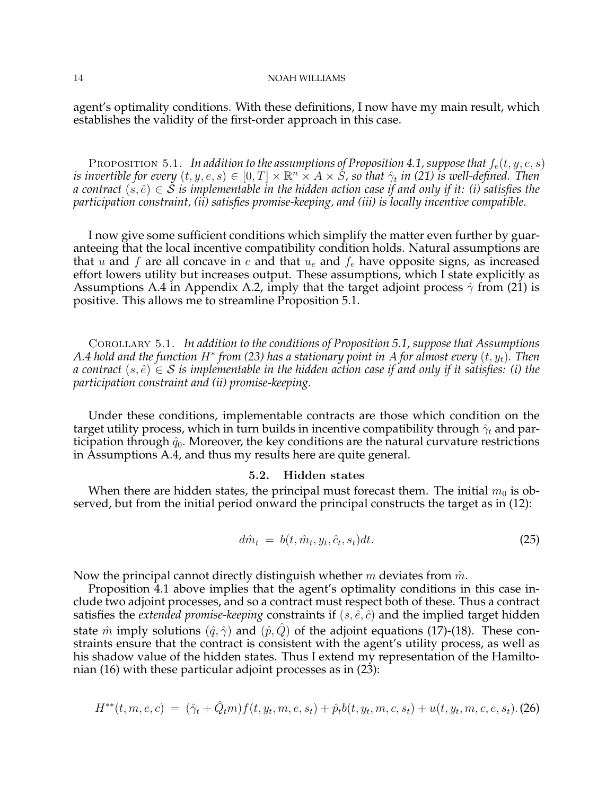agent's optimality conditions. With these definitions, I now have my main result, which establishes the validity of the first-order approach in this case.

PROPOSITION 5.1. *In addition to the assumptions of Proposition 4.1, suppose that*  $f_e(t, y, e, s)$ is invertible for every  $(t,y,e,s)\in[0,T]\times\mathbb{R}^n\times A\times \dot{S}$ , so that  $\hat{\gamma}_t$  in (21) is well-defined. Then *a* contract  $(s, \hat{e}) \in \mathcal{S}$  *is implementable in the hidden action case if and only if it: (i) satisfies the participation constraint, (ii) satisfies promise-keeping, and (iii) is locally incentive compatible.*

I now give some sufficient conditions which simplify the matter even further by guaranteeing that the local incentive compatibility condition holds. Natural assumptions are that u and f are all concave in e and that  $u_e$  and  $f_e$  have opposite signs, as increased effort lowers utility but increases output. These assumptions, which I state explicitly as Assumptions A.4 in Appendix A.2, imply that the target adjoint process  $\hat{\gamma}$  from (21) is positive. This allows me to streamline Proposition 5.1.

Corollary 5.1. *In addition to the conditions of Proposition 5.1, suppose that Assumptions* A.4 hold and the function  $H^*$  from (23) has a stationary point in  $A$  for almost every  $(t,y_t).$  Then *a* contract  $(s, \hat{e}) \in S$  *is implementable in the hidden action case if and only if it satisfies: (i) the participation constraint and (ii) promise-keeping.*

Under these conditions, implementable contracts are those which condition on the target utility process, which in turn builds in incentive compatibility through  $\hat{\gamma}_t$  and participation through  $\hat{q}_0$ . Moreover, the key conditions are the natural curvature restrictions in Assumptions A.4, and thus my results here are quite general.

# 5.2. Hidden states

When there are hidden states, the principal must forecast them. The initial  $m_0$  is observed, but from the initial period onward the principal constructs the target as in (12):

$$
d\hat{m}_t = b(t, \hat{m}_t, y_t, \hat{c}_t, s_t)dt. \tag{25}
$$

Now the principal cannot directly distinguish whether m deviates from  $\hat{m}$ .

Proposition 4.1 above implies that the agent's optimality conditions in this case include two adjoint processes, and so a contract must respect both of these. Thus a contract satisfies the *extended promise-keeping* constraints if  $(s, \hat{e}, \hat{c})$  and the implied target hidden state  $\hat{m}$  imply solutions  $(\hat{q}, \hat{\gamma})$  and  $(\hat{p}, Q)$  of the adjoint equations (17)-(18). These constraints ensure that the contract is consistent with the agent's utility process, as well as his shadow value of the hidden states. Thus I extend my representation of the Hamiltonian (16) with these particular adjoint processes as in (23):

$$
H^{**}(t, m, e, c) = (\hat{\gamma}_t + \hat{Q}_t m) f(t, y_t, m, e, s_t) + \hat{p}_t b(t, y_t, m, c, s_t) + u(t, y_t, m, c, e, s_t). (26)
$$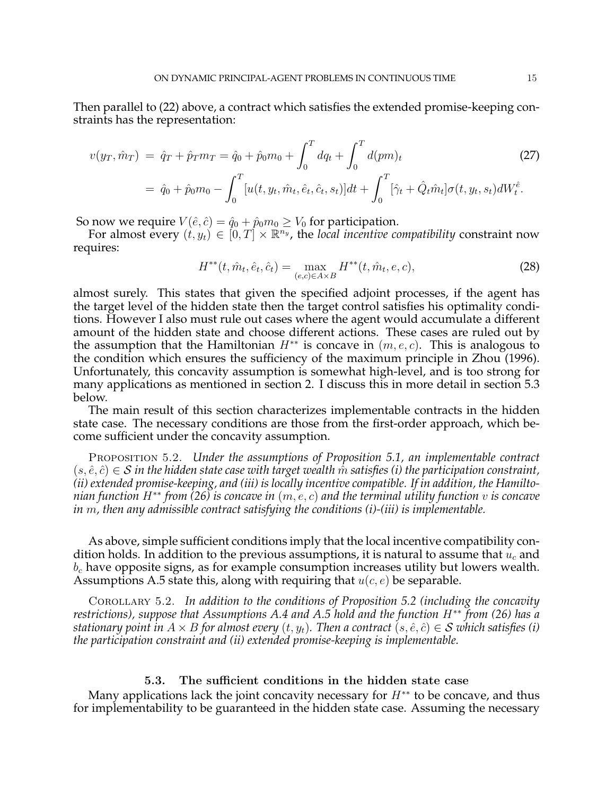Then parallel to (22) above, a contract which satisfies the extended promise-keeping constraints has the representation:

$$
v(y_T, \hat{m}_T) = \hat{q}_T + \hat{p}_T m_T = \hat{q}_0 + \hat{p}_0 m_0 + \int_0^T dq_t + \int_0^T d(pm)_t
$$
\n
$$
= \hat{q}_0 + \hat{p}_0 m_0 - \int_0^T [u(t, y_t, \hat{m}_t, \hat{e}_t, \hat{c}_t, s_t)] dt + \int_0^T [\hat{\gamma}_t + \hat{Q}_t \hat{m}_t] \sigma(t, y_t, s_t) dW_t^{\hat{e}}.
$$
\n(27)

So now we require  $V(\hat{e}, \hat{c}) = \hat{q}_0 + \hat{p}_0 m_0 \geq V_0$  for participation.

For almost every  $(t, y_t) \in [0, T] \times \mathbb{R}^{n_y}$ , the *local incentive compatibility* constraint now requires:

$$
H^{**}(t, \hat{m}_t, \hat{e}_t, \hat{c}_t) = \max_{(e,c) \in A \times B} H^{**}(t, \hat{m}_t, e, c),
$$
\n(28)

almost surely. This states that given the specified adjoint processes, if the agent has the target level of the hidden state then the target control satisfies his optimality conditions. However I also must rule out cases where the agent would accumulate a different amount of the hidden state and choose different actions. These cases are ruled out by the assumption that the Hamiltonian  $H^{**}$  is concave in  $(m, e, c)$ . This is analogous to the condition which ensures the sufficiency of the maximum principle in Zhou (1996). Unfortunately, this concavity assumption is somewhat high-level, and is too strong for many applications as mentioned in section 2. I discuss this in more detail in section 5.3 below.

The main result of this section characterizes implementable contracts in the hidden state case. The necessary conditions are those from the first-order approach, which become sufficient under the concavity assumption.

Proposition 5.2. *Under the assumptions of Proposition 5.1, an implementable contract*  $(s, \hat{e}, \hat{c}) \in S$  *in the hidden state case with target wealth* m̂ *satisfies (i) the participation constraint*, *(ii) extended promise-keeping, and (iii) is locally incentive compatible. If in addition, the Hamiltonian function* H∗∗ *from (26) is concave in* (m, e, c) *and the terminal utility function* v *is concave in* m*, then any admissible contract satisfying the conditions (i)-(iii) is implementable.*

As above, simple sufficient conditions imply that the local incentive compatibility condition holds. In addition to the previous assumptions, it is natural to assume that  $u_c$  and  $b_c$  have opposite signs, as for example consumption increases utility but lowers wealth. Assumptions A.5 state this, along with requiring that  $u(c, e)$  be separable.

Corollary 5.2. *In addition to the conditions of Proposition 5.2 (including the concavity restrictions), suppose that Assumptions A.4 and A.5 hold and the function* H∗∗ *from (26) has a stationary point in*  $A \times B$  *for almost every*  $(t, y_t)$ *. Then a contract*  $(s, \hat{e}, \hat{c}) \in S$  *which satisfies* (*i*) *the participation constraint and (ii) extended promise-keeping is implementable.*

# 5.3. The sufficient conditions in the hidden state case

Many applications lack the joint concavity necessary for  $H^{**}$  to be concave, and thus for implementability to be guaranteed in the hidden state case. Assuming the necessary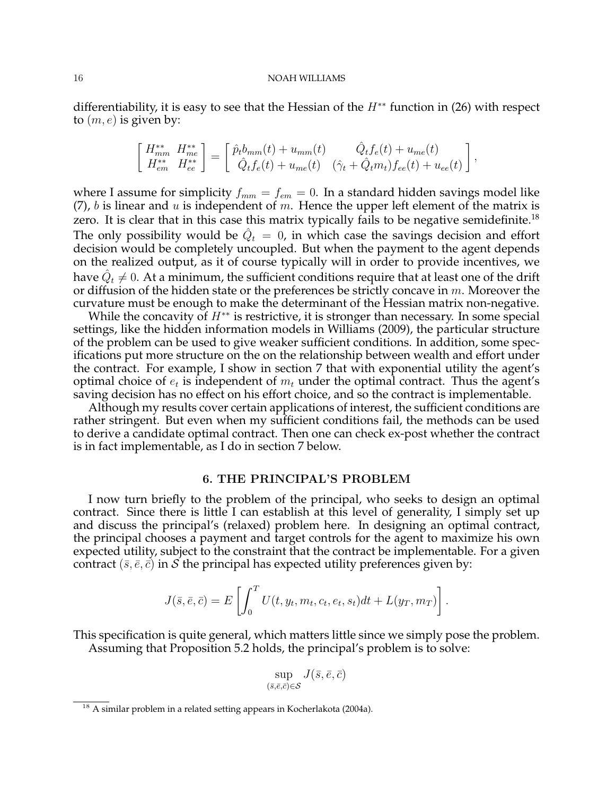differentiability, it is easy to see that the Hessian of the  $H^{**}$  function in (26) with respect to  $(m, e)$  is given by:

$$
\begin{bmatrix}\nH_{mm}^{**} & H_{me}^{**} \\
H_{em}^{**} & H_{ee}^{**}\n\end{bmatrix} = \begin{bmatrix}\n\hat{p}_t b_{mm}(t) + u_{mm}(t) & \hat{Q}_t f_e(t) + u_{me}(t) \\
\hat{Q}_t f_e(t) + u_{me}(t) & (\hat{\gamma}_t + \hat{Q}_t m_t) f_{ee}(t) + u_{ee}(t)\n\end{bmatrix},
$$

where I assume for simplicity  $f_{mm} = f_{em} = 0$ . In a standard hidden savings model like (7), b is linear and u is independent of m. Hence the upper left element of the matrix is zero. It is clear that in this case this matrix typically fails to be negative semidefinite.<sup>18</sup> The only possibility would be  $\hat{Q}_t = 0$ , in which case the savings decision and effort decision would be completely uncoupled. But when the payment to the agent depends on the realized output, as it of course typically will in order to provide incentives, we have  $\hat{Q}_t \neq 0$ . At a minimum, the sufficient conditions require that at least one of the drift or diffusion of the hidden state or the preferences be strictly concave in  $m$ . Moreover the curvature must be enough to make the determinant of the Hessian matrix non-negative.

While the concavity of  $H^{**}$  is restrictive, it is stronger than necessary. In some special settings, like the hidden information models in Williams (2009), the particular structure of the problem can be used to give weaker sufficient conditions. In addition, some specifications put more structure on the on the relationship between wealth and effort under the contract. For example, I show in section 7 that with exponential utility the agent's optimal choice of  $e_t$  is independent of  $m_t$  under the optimal contract. Thus the agent's saving decision has no effect on his effort choice, and so the contract is implementable.

Although my results cover certain applications of interest, the sufficient conditions are rather stringent. But even when my sufficient conditions fail, the methods can be used to derive a candidate optimal contract. Then one can check ex-post whether the contract is in fact implementable, as I do in section 7 below.

### 6. THE PRINCIPAL'S PROBLEM

I now turn briefly to the problem of the principal, who seeks to design an optimal contract. Since there is little I can establish at this level of generality, I simply set up and discuss the principal's (relaxed) problem here. In designing an optimal contract, the principal chooses a payment and target controls for the agent to maximize his own expected utility, subject to the constraint that the contract be implementable. For a given contract  $(\bar{s}, \bar{e}, \bar{c})$  in S the principal has expected utility preferences given by:

$$
J(\bar{s}, \bar{e}, \bar{c}) = E\left[\int_0^T U(t, y_t, m_t, c_t, e_t, s_t)dt + L(y_T, m_T)\right].
$$

This specification is quite general, which matters little since we simply pose the problem. Assuming that Proposition 5.2 holds, the principal's problem is to solve:

$$
\sup_{(\bar{s},\bar{e},\bar{c})\in\mathcal{S}} J(\bar{s},\bar{e},\bar{c})
$$

<sup>&</sup>lt;sup>18</sup> A similar problem in a related setting appears in Kocherlakota (2004a).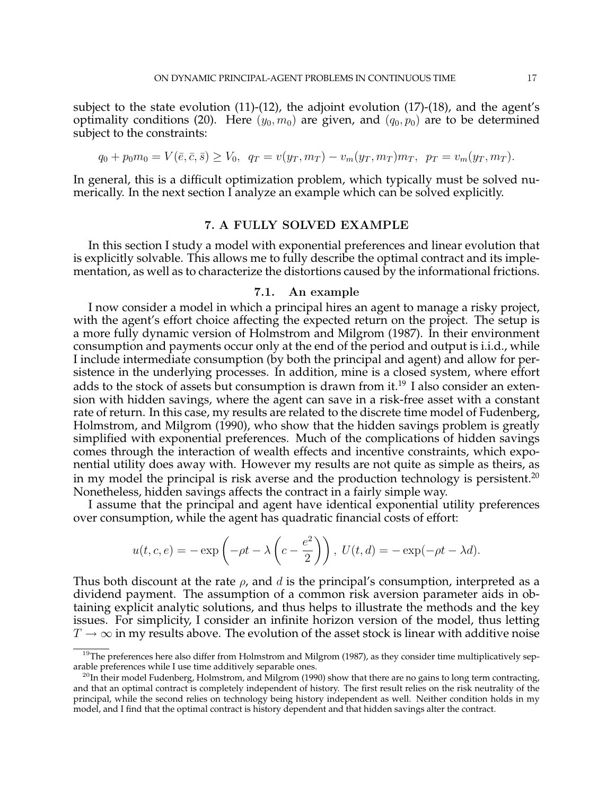subject to the state evolution  $(11)-(12)$ , the adjoint evolution  $(17)-(18)$ , and the agent's optimality conditions (20). Here  $(y_0, m_0)$  are given, and  $(q_0, p_0)$  are to be determined subject to the constraints:

$$
q_0 + p_0 m_0 = V(\bar{e}, \bar{c}, \bar{s}) \ge V_0, \quad q_T = v(y_T, m_T) - v_m(y_T, m_T) m_T, \quad p_T = v_m(y_T, m_T).
$$

In general, this is a difficult optimization problem, which typically must be solved numerically. In the next section I analyze an example which can be solved explicitly.

# 7. A FULLY SOLVED EXAMPLE

In this section I study a model with exponential preferences and linear evolution that is explicitly solvable. This allows me to fully describe the optimal contract and its implementation, as well as to characterize the distortions caused by the informational frictions.

# 7.1. An example

I now consider a model in which a principal hires an agent to manage a risky project, with the agent's effort choice affecting the expected return on the project. The setup is a more fully dynamic version of Holmstrom and Milgrom (1987). In their environment consumption and payments occur only at the end of the period and output is i.i.d., while I include intermediate consumption (by both the principal and agent) and allow for persistence in the underlying processes. In addition, mine is a closed system, where effort adds to the stock of assets but consumption is drawn from it.<sup>19</sup> I also consider an extension with hidden savings, where the agent can save in a risk-free asset with a constant rate of return. In this case, my results are related to the discrete time model of Fudenberg, Holmstrom, and Milgrom (1990), who show that the hidden savings problem is greatly simplified with exponential preferences. Much of the complications of hidden savings comes through the interaction of wealth effects and incentive constraints, which exponential utility does away with. However my results are not quite as simple as theirs, as in my model the principal is risk averse and the production technology is persistent.<sup>20</sup> Nonetheless, hidden savings affects the contract in a fairly simple way.

I assume that the principal and agent have identical exponential utility preferences over consumption, while the agent has quadratic financial costs of effort:

$$
u(t, c, e) = -\exp\left(-\rho t - \lambda \left(c - \frac{e^2}{2}\right)\right), \ U(t, d) = -\exp(-\rho t - \lambda d).
$$

Thus both discount at the rate  $\rho$ , and d is the principal's consumption, interpreted as a dividend payment. The assumption of a common risk aversion parameter aids in obtaining explicit analytic solutions, and thus helps to illustrate the methods and the key issues. For simplicity, I consider an infinite horizon version of the model, thus letting  $T\rightarrow\infty$  in my results above. The evolution of the asset stock is linear with additive noise

 $19$ The preferences here also differ from Holmstrom and Milgrom (1987), as they consider time multiplicatively separable preferences while I use time additively separable ones.

 $^{20}$ In their model Fudenberg, Holmstrom, and Milgrom (1990) show that there are no gains to long term contracting, and that an optimal contract is completely independent of history. The first result relies on the risk neutrality of the principal, while the second relies on technology being history independent as well. Neither condition holds in my model, and I find that the optimal contract is history dependent and that hidden savings alter the contract.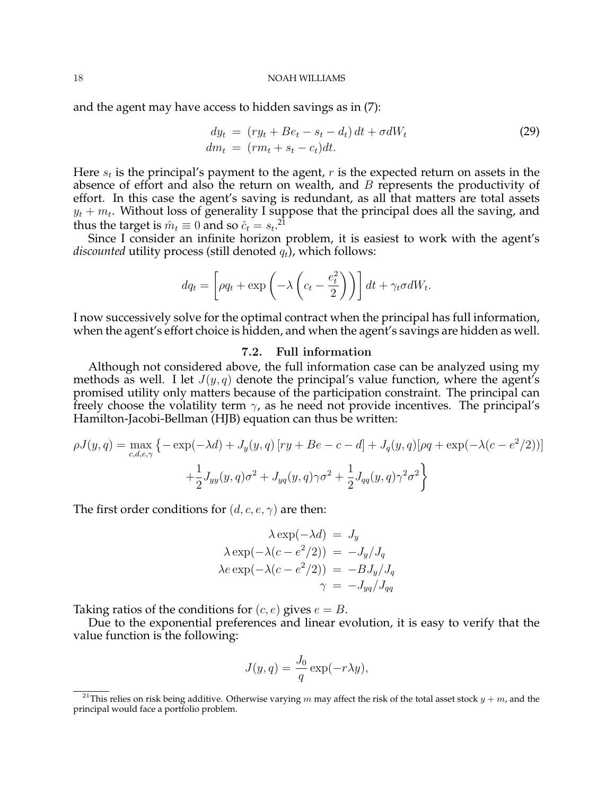and the agent may have access to hidden savings as in (7):

$$
dy_t = (ry_t + Be_t - s_t - d_t) dt + \sigma dW_t
$$
  
\n
$$
dm_t = (rm_t + s_t - c_t) dt.
$$
\n(29)

Here  $s_t$  is the principal's payment to the agent,  $r$  is the expected return on assets in the absence of effort and also the return on wealth, and  $B$  represents the productivity of effort. In this case the agent's saving is redundant, as all that matters are total assets  $y_t + m_t$ . Without loss of generality I suppose that the principal does all the saving, and thus the target is  $\hat{m}_t \equiv 0$  and so  $\hat{c}_t = s_t$ .<sup>21</sup>

Since I consider an infinite horizon problem, it is easiest to work with the agent's *discounted* utility process (still denoted  $q_t$ ), which follows:

$$
dq_t = \left[\rho q_t + \exp\left(-\lambda \left(c_t - \frac{e_t^2}{2}\right)\right)\right] dt + \gamma_t \sigma dW_t.
$$

I now successively solve for the optimal contract when the principal has full information, when the agent's effort choice is hidden, and when the agent's savings are hidden as well.

### 7.2. Full information

Although not considered above, the full information case can be analyzed using my methods as well. I let  $J(y, q)$  denote the principal's value function, where the agent's promised utility only matters because of the participation constraint. The principal can freely choose the volatility term  $\gamma$ , as he need not provide incentives. The principal's Hamilton-Jacobi-Bellman (HJB) equation can thus be written:

$$
\rho J(y, q) = \max_{c, d, e, \gamma} \left\{ -\exp(-\lambda d) + J_y(y, q) \left[ ry + Be - c - d \right] + J_q(y, q) \left[ \rho q + \exp(-\lambda (c - e^2/2)) \right] + \frac{1}{2} J_{yy}(y, q) \sigma^2 + J_{yq}(y, q) \gamma \sigma^2 + \frac{1}{2} J_{qq}(y, q) \gamma^2 \sigma^2 \right\}
$$

The first order conditions for  $(d, c, e, \gamma)$  are then:

$$
\lambda \exp(-\lambda d) = J_y
$$
  
\n
$$
\lambda \exp(-\lambda (c - e^2/2)) = -J_y/J_q
$$
  
\n
$$
\lambda e \exp(-\lambda (c - e^2/2)) = -BJ_y/J_q
$$
  
\n
$$
\gamma = -J_{yq}/J_{qq}
$$

Taking ratios of the conditions for  $(c, e)$  gives  $e = B$ .

Due to the exponential preferences and linear evolution, it is easy to verify that the value function is the following:

$$
J(y, q) = \frac{J_0}{q} \exp(-r\lambda y),
$$

<sup>&</sup>lt;sup>21</sup>This relies on risk being additive. Otherwise varying m may affect the risk of the total asset stock  $y + m$ , and the principal would face a portfolio problem.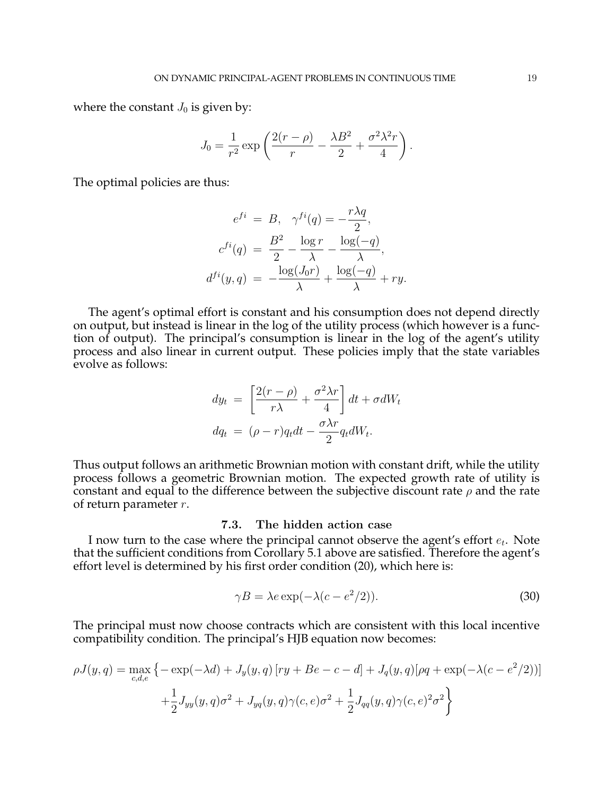where the constant  $J_0$  is given by:

$$
J_0 = \frac{1}{r^2} \exp\left(\frac{2(r-\rho)}{r} - \frac{\lambda B^2}{2} + \frac{\sigma^2 \lambda^2 r}{4}\right)
$$

.

The optimal policies are thus:

$$
e^{fi} = B, \quad \gamma^{fi}(q) = -\frac{r\lambda q}{2},
$$

$$
c^{fi}(q) = \frac{B^2}{2} - \frac{\log r}{\lambda} - \frac{\log(-q)}{\lambda},
$$

$$
d^{fi}(y, q) = -\frac{\log(J_0 r)}{\lambda} + \frac{\log(-q)}{\lambda} + ry.
$$

The agent's optimal effort is constant and his consumption does not depend directly on output, but instead is linear in the log of the utility process (which however is a function of output). The principal's consumption is linear in the log of the agent's utility process and also linear in current output. These policies imply that the state variables evolve as follows:

$$
dy_t = \left[\frac{2(r-\rho)}{r\lambda} + \frac{\sigma^2 \lambda r}{4}\right] dt + \sigma dW_t
$$
  

$$
dq_t = (\rho - r)q_t dt - \frac{\sigma \lambda r}{2} q_t dW_t.
$$

Thus output follows an arithmetic Brownian motion with constant drift, while the utility process follows a geometric Brownian motion. The expected growth rate of utility is constant and equal to the difference between the subjective discount rate  $\rho$  and the rate of return parameter  $r$ .

# 7.3. The hidden action case

I now turn to the case where the principal cannot observe the agent's effort  $e_t$ . Note that the sufficient conditions from Corollary 5.1 above are satisfied. Therefore the agent's effort level is determined by his first order condition (20), which here is:

$$
\gamma B = \lambda e \exp(-\lambda (c - e^2/2)).
$$
\n(30)

The principal must now choose contracts which are consistent with this local incentive compatibility condition. The principal's HJB equation now becomes:

$$
\rho J(y, q) = \max_{c, d, e} \left\{ -\exp(-\lambda d) + J_y(y, q) \left[ ry + Be - c - d \right] + J_q(y, q) [\rho q + \exp(-\lambda (c - e^2/2))] + \frac{1}{2} J_{yy}(y, q) \sigma^2 + J_{yq}(y, q) \gamma(c, e) \sigma^2 + \frac{1}{2} J_{qq}(y, q) \gamma(c, e)^2 \sigma^2 \right\}
$$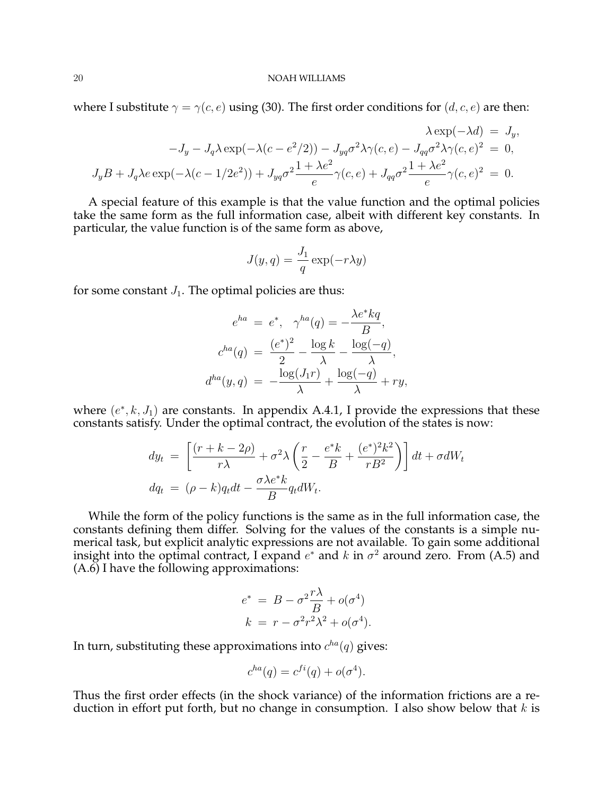where I substitute  $\gamma = \gamma(c, e)$  using (30). The first order conditions for  $(d, c, e)$  are then:

$$
\lambda \exp(-\lambda d) = J_y,
$$
  

$$
-J_y - J_q \lambda \exp(-\lambda (c - e^2/2)) - J_{yq} \sigma^2 \lambda \gamma (c, e) - J_{qq} \sigma^2 \lambda \gamma (c, e)^2 = 0,
$$
  

$$
J_y B + J_q \lambda e \exp(-\lambda (c - 1/2e^2)) + J_{yq} \sigma^2 \frac{1 + \lambda e^2}{e} \gamma (c, e) + J_{qq} \sigma^2 \frac{1 + \lambda e^2}{e} \gamma (c, e)^2 = 0.
$$

A special feature of this example is that the value function and the optimal policies take the same form as the full information case, albeit with different key constants. In particular, the value function is of the same form as above,

$$
J(y,q) = \frac{J_1}{q} \exp(-r\lambda y)
$$

for some constant  $J_1$ . The optimal policies are thus:

$$
e^{ha} = e^*, \quad \gamma^{ha}(q) = -\frac{\lambda e^* kq}{B},
$$

$$
c^{ha}(q) = \frac{(e^*)^2}{2} - \frac{\log k}{\lambda} - \frac{\log(-q)}{\lambda},
$$

$$
d^{ha}(y, q) = -\frac{\log(J_1 r)}{\lambda} + \frac{\log(-q)}{\lambda} + ry,
$$

where  $(e^*, k, J_1)$  are constants. In appendix A.4.1, I provide the expressions that these constants satisfy. Under the optimal contract, the evolution of the states is now:

$$
dy_t = \left[\frac{(r+k-2\rho)}{r\lambda} + \sigma^2 \lambda \left(\frac{r}{2} - \frac{e^*k}{B} + \frac{(e^*)^2 k^2}{rB^2}\right)\right] dt + \sigma dW_t
$$
  

$$
dq_t = (\rho - k)q_t dt - \frac{\sigma \lambda e^* k}{B} q_t dW_t.
$$

While the form of the policy functions is the same as in the full information case, the constants defining them differ. Solving for the values of the constants is a simple numerical task, but explicit analytic expressions are not available. To gain some additional insight into the optimal contract, I expand  $e^*$  and k in  $\sigma^2$  around zero. From (A.5) and  $(A.\overline{6})$  I have the following approximations:

$$
e^* = B - \sigma^2 \frac{r\lambda}{B} + o(\sigma^4)
$$

$$
k = r - \sigma^2 r^2 \lambda^2 + o(\sigma^4).
$$

In turn, substituting these approximations into  $c^{ha}(q)$  gives:

$$
c^{ha}(q) = c^{fi}(q) + o(\sigma^4).
$$

Thus the first order effects (in the shock variance) of the information frictions are a reduction in effort put forth, but no change in consumption. I also show below that  $k$  is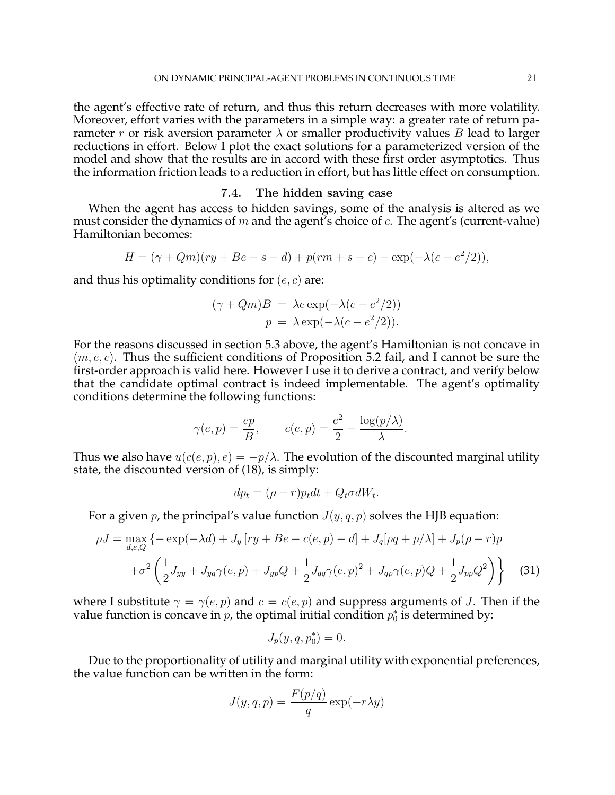the agent's effective rate of return, and thus this return decreases with more volatility. Moreover, effort varies with the parameters in a simple way: a greater rate of return parameter r or risk aversion parameter  $\lambda$  or smaller productivity values B lead to larger reductions in effort. Below I plot the exact solutions for a parameterized version of the model and show that the results are in accord with these first order asymptotics. Thus the information friction leads to a reduction in effort, but has little effect on consumption.

# 7.4. The hidden saving case

When the agent has access to hidden savings, some of the analysis is altered as we must consider the dynamics of  $m$  and the agent's choice of  $c$ . The agent's (current-value) Hamiltonian becomes:

$$
H = (\gamma + Qm)(ry + Be - s - d) + p(rm + s - c) - \exp(-\lambda(c - e^{2}/2)),
$$

and thus his optimality conditions for  $(e, c)$  are:

$$
(\gamma + Qm)B = \lambda e \exp(-\lambda(c - e^2/2))
$$
  

$$
p = \lambda \exp(-\lambda(c - e^2/2)).
$$

For the reasons discussed in section 5.3 above, the agent's Hamiltonian is not concave in  $(m, e, c)$ . Thus the sufficient conditions of Proposition 5.2 fail, and I cannot be sure the first-order approach is valid here. However I use it to derive a contract, and verify below that the candidate optimal contract is indeed implementable. The agent's optimality conditions determine the following functions:

$$
\gamma(e, p) = \frac{ep}{B}, \qquad c(e, p) = \frac{e^2}{2} - \frac{\log(p/\lambda)}{\lambda}.
$$

Thus we also have  $u(c(e, p), e) = -p/\lambda$ . The evolution of the discounted marginal utility state, the discounted version of (18), is simply:

$$
dp_t = (\rho - r)p_t dt + Q_t \sigma dW_t.
$$

For a given p, the principal's value function  $J(y, q, p)$  solves the HJB equation:

$$
\rho J = \max_{d,e,Q} \left\{ -\exp(-\lambda d) + J_y \left[ ry + Be - c(e,p) - d \right] + J_q [\rho q + p/\lambda] + J_p (\rho - r) p \right\}
$$

$$
+ \sigma^2 \left( \frac{1}{2} J_{yy} + J_{yq} \gamma(e,p) + J_{yp} Q + \frac{1}{2} J_{qq} \gamma(e,p)^2 + J_{qp} \gamma(e,p) Q + \frac{1}{2} J_{pp} Q^2 \right) \right\} \tag{31}
$$

where I substitute  $\gamma = \gamma(e, p)$  and  $c = c(e, p)$  and suppress arguments of J. Then if the value function is concave in  $p$ , the optimal initial condition  $p_0^*$  is determined by:

$$
J_p(y, q, p_0^*) = 0.
$$

Due to the proportionality of utility and marginal utility with exponential preferences, the value function can be written in the form:

$$
J(y, q, p) = \frac{F(p/q)}{q} \exp(-r\lambda y)
$$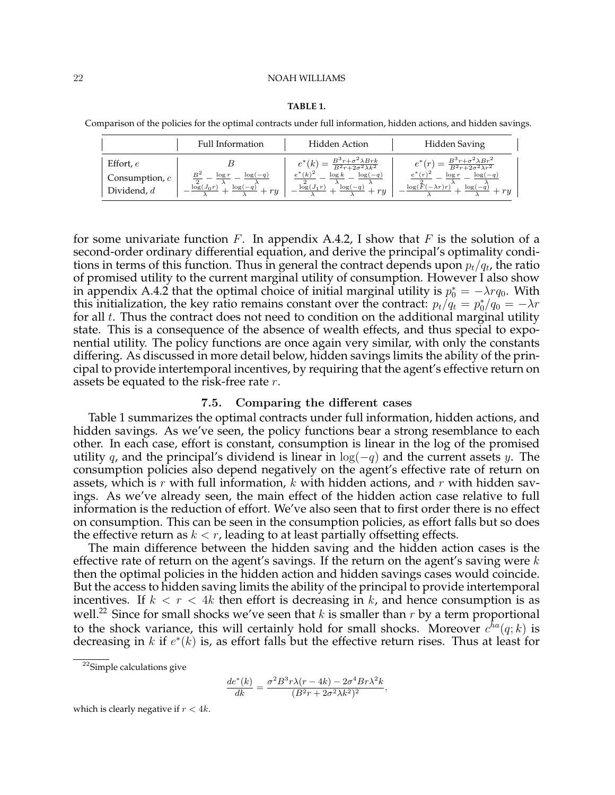### **TABLE 1.**

Comparison of the policies for the optimal contracts under full information, hidden actions, and hidden savings.

|                                                  | Full Information                                                         | Hidden Action                                                                                                                                                                  | Hidden Saving                                                                                                                                                                                          |
|--------------------------------------------------|--------------------------------------------------------------------------|--------------------------------------------------------------------------------------------------------------------------------------------------------------------------------|--------------------------------------------------------------------------------------------------------------------------------------------------------------------------------------------------------|
| Effort, $e$<br>Consumption, $c$<br>Dividend, $d$ | $log(-q)$<br>$\log r$<br>$\log(J_0r)$<br>$\frac{\log(-q)}{1-\log(q)}+ry$ | $e^*(k) = \frac{B^3 r + \sigma^2 \lambda Brk}{B^2 r + 2\sigma^2 \lambda k^2}$<br>$e^*(k)^2$<br>$\log k$<br>$log(-q)$<br>$-\frac{\log (J_1 r)}{2}$<br>$\frac{\log(-q)}{y} + ry$ | $e^*(r) = \frac{B^3r + \sigma^2\lambda Br^2}{B^2r + 2\sigma^2\lambda r^2}$<br>$e^{*}(r)^{2}$<br>$log(-q)$<br>$\log r$<br>$-\frac{\log(F(-\lambda r)r)}{\lambda} + \frac{\log(-q)}{\lambda}$<br>$+ry$ . |

for some univariate function F. In appendix A.4.2, I show that F is the solution of a second-order ordinary differential equation, and derive the principal's optimality conditions in terms of this function. Thus in general the contract depends upon  $p_t/q_t$ , the ratio of promised utility to the current marginal utility of consumption. However I also show in appendix A.4.2 that the optimal choice of initial marginal utility is  $p_0^* = -\lambda r q_0$ . With this initialization, the key ratio remains constant over the contract:  $p_t/q_t = p_0^*/q_0 = -\lambda r$ for all  $t$ . Thus the contract does not need to condition on the additional marginal utility state. This is a consequence of the absence of wealth effects, and thus special to exponential utility. The policy functions are once again very similar, with only the constants differing. As discussed in more detail below, hidden savings limits the ability of the principal to provide intertemporal incentives, by requiring that the agent's effective return on assets be equated to the risk-free rate r.

# 7.5. Comparing the different cases

Table 1 summarizes the optimal contracts under full information, hidden actions, and hidden savings. As we've seen, the policy functions bear a strong resemblance to each other. In each case, effort is constant, consumption is linear in the log of the promised utility q, and the principal's dividend is linear in  $log(-q)$  and the current assets y. The consumption policies also depend negatively on the agent's effective rate of return on assets, which is r with full information,  $k$  with hidden actions, and  $r$  with hidden savings. As we've already seen, the main effect of the hidden action case relative to full information is the reduction of effort. We've also seen that to first order there is no effect on consumption. This can be seen in the consumption policies, as effort falls but so does the effective return as  $k < r$ , leading to at least partially offsetting effects.

The main difference between the hidden saving and the hidden action cases is the effective rate of return on the agent's savings. If the return on the agent's saving were  $k$ then the optimal policies in the hidden action and hidden savings cases would coincide. But the access to hidden saving limits the ability of the principal to provide intertemporal incentives. If  $k < r < 4k$  then effort is decreasing in k, and hence consumption is as well.<sup>22</sup> Since for small shocks we've seen that k is smaller than r by a term proportional to the shock variance, this will certainly hold for small shocks. Moreover  $c^{ha}(q; k)$  is decreasing in k if  $e^*(k)$  is, as effort falls but the effective return rises. Thus at least for

$$
\frac{de^*(k)}{dk} = \frac{\sigma^2 B^3 r \lambda (r - 4k) - 2\sigma^4 B r \lambda^2 k}{(B^2 r + 2\sigma^2 \lambda k^2)^2},
$$

which is clearly negative if  $r < 4k$ .

<sup>22</sup>Simple calculations give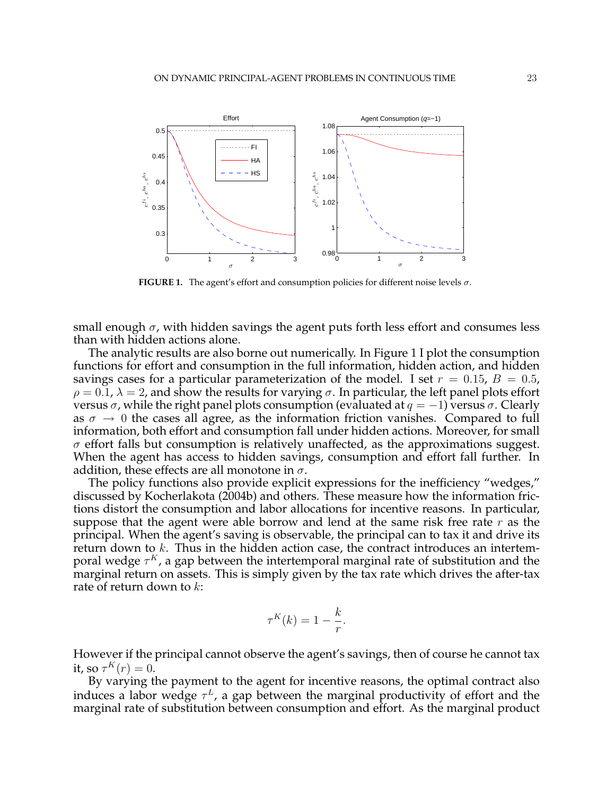

**FIGURE 1.** The agent's effort and consumption policies for different noise levels  $\sigma$ .

small enough  $\sigma$ , with hidden savings the agent puts forth less effort and consumes less than with hidden actions alone.

The analytic results are also borne out numerically. In Figure 1 I plot the consumption functions for effort and consumption in the full information, hidden action, and hidden savings cases for a particular parameterization of the model. I set  $r = 0.15$ ,  $B = 0.5$ ,  $\rho = 0.1$ ,  $\lambda = 2$ , and show the results for varying  $\sigma$ . In particular, the left panel plots effort versus  $\sigma$ , while the right panel plots consumption (evaluated at  $q = -1$ ) versus  $\sigma$ . Clearly as  $\sigma \to 0$  the cases all agree, as the information friction vanishes. Compared to full information, both effort and consumption fall under hidden actions. Moreover, for small  $\sigma$  effort falls but consumption is relatively unaffected, as the approximations suggest. When the agent has access to hidden savings, consumption and effort fall further. In addition, these effects are all monotone in  $\sigma$ .

The policy functions also provide explicit expressions for the inefficiency "wedges," discussed by Kocherlakota (2004b) and others. These measure how the information frictions distort the consumption and labor allocations for incentive reasons. In particular, suppose that the agent were able borrow and lend at the same risk free rate  $r$  as the principal. When the agent's saving is observable, the principal can to tax it and drive its return down to k. Thus in the hidden action case, the contract introduces an intertemporal wedge  $\tau^K$ , a gap between the intertemporal marginal rate of substitution and the marginal return on assets. This is simply given by the tax rate which drives the after-tax rate of return down to  $k$ :

$$
\tau^K(k) = 1 - \frac{k}{r}.
$$

However if the principal cannot observe the agent's savings, then of course he cannot tax it, so  $\tau^K(r) = 0$ .

By varying the payment to the agent for incentive reasons, the optimal contract also induces a labor wedge  $\tau^L$ , a gap between the marginal productivity of effort and the marginal rate of substitution between consumption and effort. As the marginal product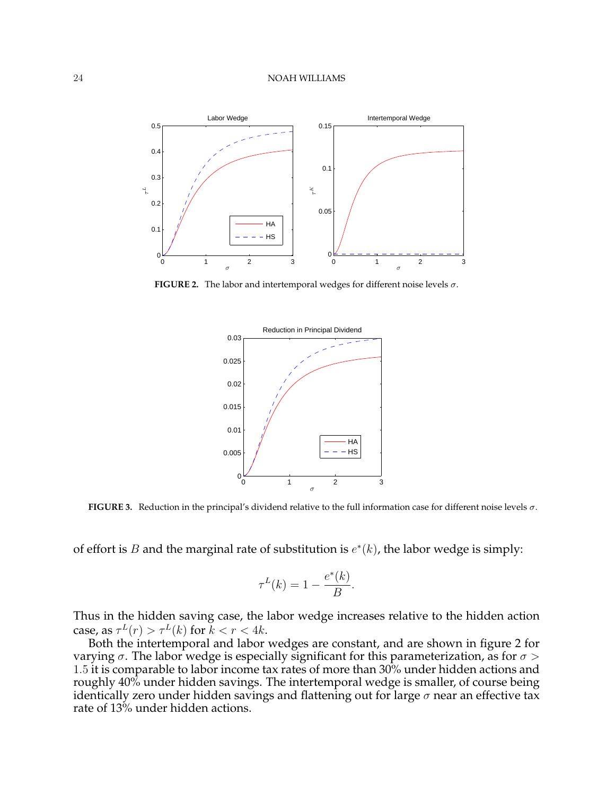

**FIGURE 2.** The labor and intertemporal wedges for different noise levels  $\sigma$ .



**FIGURE 3.** Reduction in the principal's dividend relative to the full information case for different noise levels σ.

of effort is B and the marginal rate of substitution is  $e^*(k)$ , the labor wedge is simply:

$$
\tau^L(k) = 1 - \frac{e^*(k)}{B}.
$$

Thus in the hidden saving case, the labor wedge increases relative to the hidden action case, as  $\tau^L(r) > \tau^L(k)$  for  $k < r < 4k$ .

Both the intertemporal and labor wedges are constant, and are shown in figure 2 for varying  $\sigma$ . The labor wedge is especially significant for this parameterization, as for  $\sigma >$ 1.5 it is comparable to labor income tax rates of more than 30% under hidden actions and roughly 40% under hidden savings. The intertemporal wedge is smaller, of course being identically zero under hidden savings and flattening out for large  $\sigma$  near an effective tax rate of 13% under hidden actions.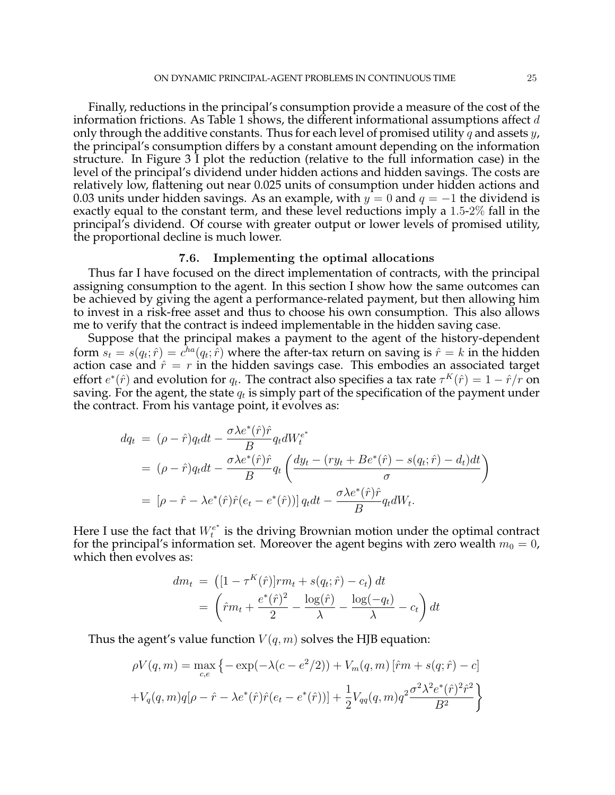Finally, reductions in the principal's consumption provide a measure of the cost of the information frictions. As Table 1 shows, the different informational assumptions affect  $d$ only through the additive constants. Thus for each level of promised utility q and assets y, the principal's consumption differs by a constant amount depending on the information structure. In Figure 3 I plot the reduction (relative to the full information case) in the level of the principal's dividend under hidden actions and hidden savings. The costs are relatively low, flattening out near 0.025 units of consumption under hidden actions and 0.03 units under hidden savings. As an example, with  $y = 0$  and  $q = -1$  the dividend is exactly equal to the constant term, and these level reductions imply a 1.5-2% fall in the principal's dividend. Of course with greater output or lower levels of promised utility, the proportional decline is much lower.

# 7.6. Implementing the optimal allocations

Thus far I have focused on the direct implementation of contracts, with the principal assigning consumption to the agent. In this section I show how the same outcomes can be achieved by giving the agent a performance-related payment, but then allowing him to invest in a risk-free asset and thus to choose his own consumption. This also allows me to verify that the contract is indeed implementable in the hidden saving case.

Suppose that the principal makes a payment to the agent of the history-dependent form  $s_t = s(q_t; \hat{r}) = c^{\hbar a}(q_t; \hat{r})$  where the after-tax return on saving is  $\hat{r} = k$  in the hidden action case and  $\hat{r} = r$  in the hidden savings case. This embodies an associated target effort  $e^*(\hat{r})$  and evolution for  $q_t$ . The contract also specifies a tax rate  $\tau^K(\hat{r}) = 1 - \hat{r}/r$  on saving. For the agent, the state  $q_t$  is simply part of the specification of the payment under the contract. From his vantage point, it evolves as:

$$
dq_t = (\rho - \hat{r})q_t dt - \frac{\sigma \lambda e^*(\hat{r})\hat{r}}{B} q_t dW_t^{e^*}
$$
  
=  $(\rho - \hat{r})q_t dt - \frac{\sigma \lambda e^*(\hat{r})\hat{r}}{B} q_t \left( \frac{dy_t - (ry_t + Be^*(\hat{r}) - s(q_t; \hat{r}) - d_t)dt}{\sigma} \right)$   
=  $[\rho - \hat{r} - \lambda e^*(\hat{r})\hat{r}(e_t - e^*(\hat{r}))] q_t dt - \frac{\sigma \lambda e^*(\hat{r})\hat{r}}{B} q_t dW_t.$ 

Here I use the fact that  $W_t^{e^*}$  $t^{e^*}$  is the driving Brownian motion under the optimal contract for the principal's information set. Moreover the agent begins with zero wealth  $m_0 = 0$ , which then evolves as:

$$
dm_t = \left( [1 - \tau^K(\hat{r})]rm_t + s(q_t; \hat{r}) - c_t \right) dt
$$
  
= 
$$
\left( \hat{r}m_t + \frac{e^*(\hat{r})^2}{2} - \frac{\log(\hat{r})}{\lambda} - \frac{\log(-q_t)}{\lambda} - c_t \right) dt
$$

Thus the agent's value function  $V(q,m)$  solves the HJB equation:

$$
\rho V(q, m) = \max_{c,e} \left\{ -\exp(-\lambda(c - e^2/2)) + V_m(q, m) [\hat{r}m + s(q; \hat{r}) - c] + V_q(q, m)q[\rho - \hat{r} - \lambda e^*(\hat{r})\hat{r}(e_t - e^*(\hat{r}))] + \frac{1}{2} V_{qq}(q, m)q^2 \frac{\sigma^2 \lambda^2 e^*(\hat{r})^2 \hat{r}^2}{B^2} \right\}
$$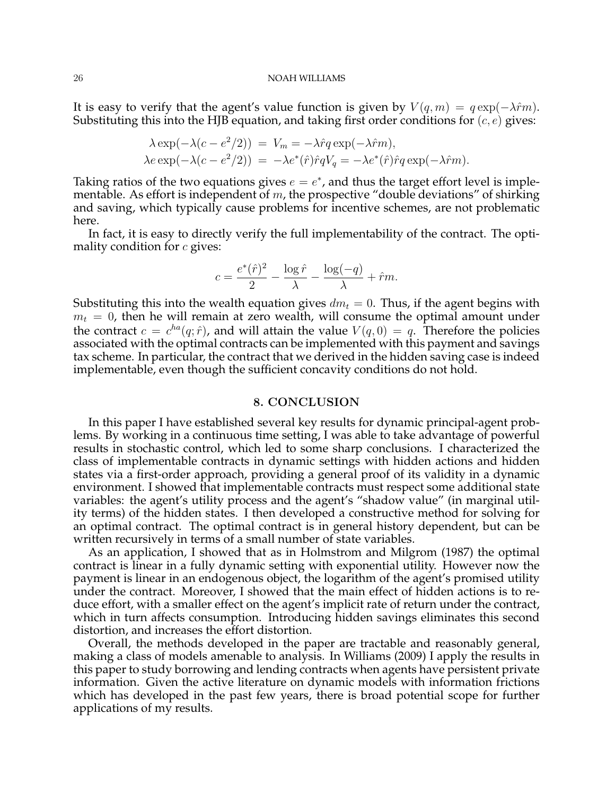It is easy to verify that the agent's value function is given by  $V(q, m) = q \exp(-\lambda \hat{r}m)$ . Substituting this into the HJB equation, and taking first order conditions for  $(c, e)$  gives:

$$
\lambda \exp(-\lambda(c - e^2/2)) = V_m = -\lambda \hat{r}q \exp(-\lambda \hat{r}m),
$$
  
\n
$$
\lambda e \exp(-\lambda(c - e^2/2)) = -\lambda e^*(\hat{r})\hat{r}qV_q = -\lambda e^*(\hat{r})\hat{r}q \exp(-\lambda \hat{r}m).
$$

Taking ratios of the two equations gives  $e = e^*$ , and thus the target effort level is implementable. As effort is independent of  $m$ , the prospective "double deviations" of shirking and saving, which typically cause problems for incentive schemes, are not problematic here.

In fact, it is easy to directly verify the full implementability of the contract. The optimality condition for  $c$  gives:

$$
c = \frac{e^*(\hat{r})^2}{2} - \frac{\log \hat{r}}{\lambda} - \frac{\log(-q)}{\lambda} + \hat{r}m.
$$

Substituting this into the wealth equation gives  $dm_t = 0$ . Thus, if the agent begins with  $m_t = 0$ , then he will remain at zero wealth, will consume the optimal amount under the contract  $c = c^{ha}(q; \hat{r})$ , and will attain the value  $V(q, 0) = q$ . Therefore the policies associated with the optimal contracts can be implemented with this payment and savings tax scheme. In particular, the contract that we derived in the hidden saving case is indeed implementable, even though the sufficient concavity conditions do not hold.

### 8. CONCLUSION

In this paper I have established several key results for dynamic principal-agent problems. By working in a continuous time setting, I was able to take advantage of powerful results in stochastic control, which led to some sharp conclusions. I characterized the class of implementable contracts in dynamic settings with hidden actions and hidden states via a first-order approach, providing a general proof of its validity in a dynamic environment. I showed that implementable contracts must respect some additional state variables: the agent's utility process and the agent's "shadow value" (in marginal utility terms) of the hidden states. I then developed a constructive method for solving for an optimal contract. The optimal contract is in general history dependent, but can be written recursively in terms of a small number of state variables.

As an application, I showed that as in Holmstrom and Milgrom (1987) the optimal contract is linear in a fully dynamic setting with exponential utility. However now the payment is linear in an endogenous object, the logarithm of the agent's promised utility under the contract. Moreover, I showed that the main effect of hidden actions is to reduce effort, with a smaller effect on the agent's implicit rate of return under the contract, which in turn affects consumption. Introducing hidden savings eliminates this second distortion, and increases the effort distortion.

Overall, the methods developed in the paper are tractable and reasonably general, making a class of models amenable to analysis. In Williams (2009) I apply the results in this paper to study borrowing and lending contracts when agents have persistent private information. Given the active literature on dynamic models with information frictions which has developed in the past few years, there is broad potential scope for further applications of my results.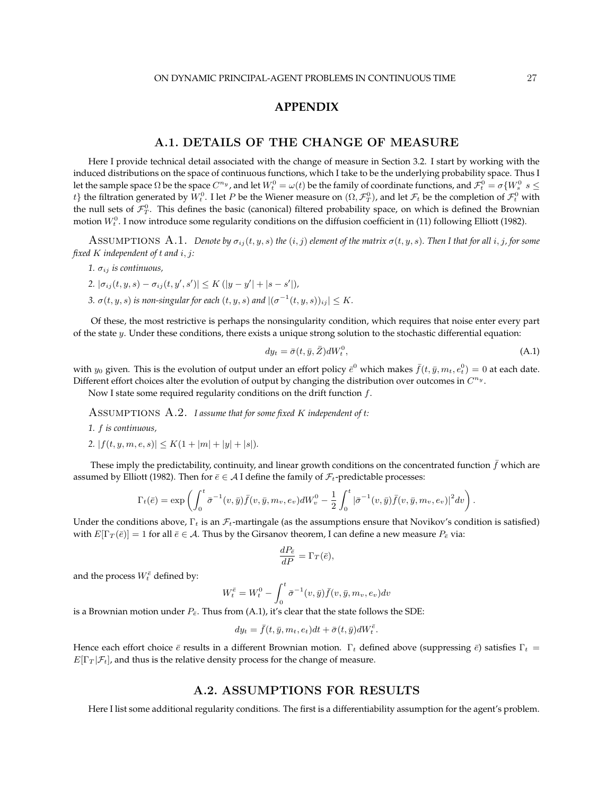# **APPENDIX**

# A.1. DETAILS OF THE CHANGE OF MEASURE

Here I provide technical detail associated with the change of measure in Section 3.2. I start by working with the induced distributions on the space of continuous functions, which I take to be the underlying probability space. Thus I let the sample space  $\Omega$  be the space  $C^{n_y}$ , and let  $W_t^0=\omega(t)$  be the family of coordinate functions, and  $\mathcal{F}_t^0=\sigma\{W_s^0\,|\,s\leq t\}$  $t\}$  the filtration generated by  $W_t^0.$  I let  $P$  be the Wiener measure on  $(\Omega,\mathcal F^0_T)$ , and let  $\mathcal F_t$  be the completion of  $\mathcal F^0_t$  with the null sets of  $\mathcal{F}_T^0$ . This defines the basic (canonical) filtered probability space, on which is defined the Brownian motion  $W_t^0$ . I now introduce some regularity conditions on the diffusion coefficient in (11) following Elliott (1982).

ASSUMPTIONS A.1. *Denote by*  $\sigma_{ij}(t, y, s)$  *the*  $(i, j)$  *element of the matrix*  $\sigma(t, y, s)$ *. Then I that for all*  $i, j$ *, for some fixed* K *independent of* t *and* i, j*:*

- $1. \sigma_{ii}$  *is continuous*,
- 2.  $|\sigma_{ij}(t, y, s) \sigma_{ij}(t, y', s')| \leq K (|y y'| + |s s'|)$
- *3.*  $\sigma(t, y, s)$  *is non-singular for each*  $(t, y, s)$  *and*  $|(\sigma^{-1}(t, y, s))_{ij}| \leq K$ *.*

Of these, the most restrictive is perhaps the nonsingularity condition, which requires that noise enter every part of the state  $y$ . Under these conditions, there exists a unique strong solution to the stochastic differential equation:

$$
dy_t = \bar{\sigma}(t, \bar{y}, \bar{Z})dW_t^0, \tag{A.1}
$$

with  $y_0$  given. This is the evolution of output under an effort policy  $\bar{e}^0$  which makes  $\bar{f}(t, \bar{y}, m_t, e_t^0) = 0$  at each date. Different effort choices alter the evolution of output by changing the distribution over outcomes in  $C^{n_y}$ .

Now I state some required regularity conditions on the drift function  $f$ .

Assumptions A.2. *I assume that for some fixed* K *independent of* t*:*

*1.* f *is continuous,*

2.  $|f(t, y, m, e, s)| \leq K(1 + |m| + |y| + |s|)$ *.* 

These imply the predictability, continuity, and linear growth conditions on the concentrated function  $\bar{f}$  which are assumed by Elliott (1982). Then for  $\bar{e} \in A$  I define the family of  $\mathcal{F}_t$ -predictable processes:

$$
\Gamma_t(\bar{e})=\exp\left(\int_0^t \bar{\sigma}^{-1}(v,\bar{y})\bar{f}(v,\bar{y},m_v,e_v)dW_v^0-\frac{1}{2}\int_0^t |\bar{\sigma}^{-1}(v,\bar{y})\bar{f}(v,\bar{y},m_v,e_v)|^2dv\right).
$$

Under the conditions above,  $\Gamma_t$  is an  $\mathcal{F}_t$ -martingale (as the assumptions ensure that Novikov's condition is satisfied) with  $E[\Gamma_T(\bar{e})] = 1$  for all  $\bar{e} \in A$ . Thus by the Girsanov theorem, I can define a new measure  $P_{\bar{e}}$  via:

$$
\frac{dP_{\bar{e}}}{dP} = \Gamma_T(\bar{e}),
$$

and the process  $W_t^{\bar{e}}$  defined by:

$$
W_t^{\bar{e}} = W_t^0 - \int_0^t \bar{\sigma}^{-1}(v, \bar{y}) \bar{f}(v, \bar{y}, m_v, e_v) dv
$$

is a Brownian motion under  $P_{\bar{e}}$ . Thus from (A.1), it's clear that the state follows the SDE:

$$
dy_t = \bar{f}(t, \bar{y}, m_t, e_t)dt + \bar{\sigma}(t, \bar{y})dW_t^{\bar{e}}.
$$

Hence each effort choice  $\bar{e}$  results in a different Brownian motion.  $\Gamma_t$  defined above (suppressing  $\bar{e}$ ) satisfies  $\Gamma_t$  =  $E[\Gamma_T|\mathcal{F}_t]$ , and thus is the relative density process for the change of measure.

# A.2. ASSUMPTIONS FOR RESULTS

Here I list some additional regularity conditions. The first is a differentiability assumption for the agent's problem.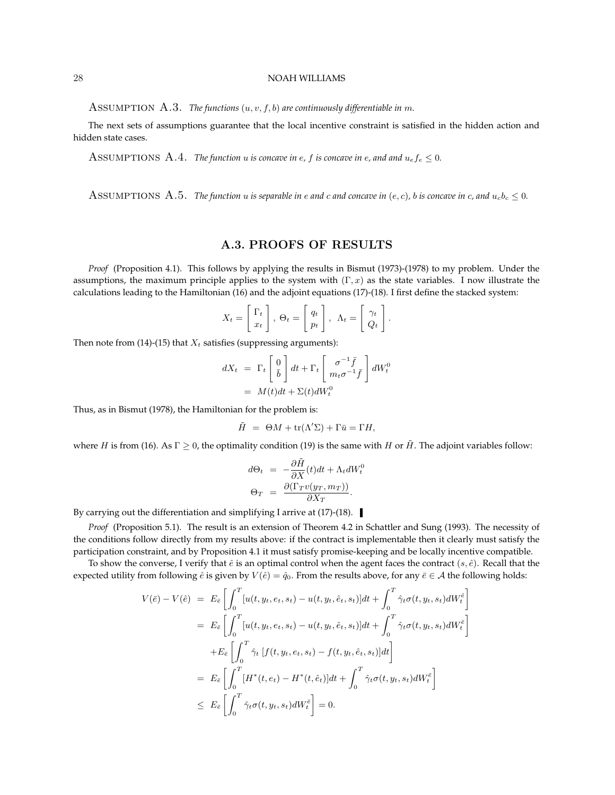ASSUMPTION A.3. *The functions*  $(u, v, f, b)$  are continuously differentiable in m.

The next sets of assumptions guarantee that the local incentive constraint is satisfied in the hidden action and hidden state cases.

ASSUMPTIONS A.4. *The function* u *is concave in e, f is concave in e, and and*  $u_e f_e \leq 0$ .

ASSUMPTIONS A.5. *The function* u *is separable in e and c and concave in*  $(e, c)$ , *b is concave in c*, and  $u_c b_c \leq 0$ .

# A.3. PROOFS OF RESULTS

*Proof* (Proposition 4.1). This follows by applying the results in Bismut (1973)-(1978) to my problem. Under the assumptions, the maximum principle applies to the system with  $(\Gamma, x)$  as the state variables. I now illustrate the calculations leading to the Hamiltonian (16) and the adjoint equations (17)-(18). I first define the stacked system:

$$
X_t = \begin{bmatrix} \Gamma_t \\ x_t \end{bmatrix}, \ \Theta_t = \begin{bmatrix} q_t \\ p_t \end{bmatrix}, \ \Lambda_t = \begin{bmatrix} \gamma_t \\ Q_t \end{bmatrix}.
$$

Then note from (14)-(15) that  $X_t$  satisfies (suppressing arguments):

$$
dX_t = \Gamma_t \begin{bmatrix} 0 \\ \bar{b} \end{bmatrix} dt + \Gamma_t \begin{bmatrix} \sigma^{-1} \bar{f} \\ m_t \sigma^{-1} \bar{f} \end{bmatrix} dW_t^0
$$
  
=  $M(t) dt + \Sigma(t) dW_t^0$ 

Thus, as in Bismut (1978), the Hamiltonian for the problem is:

$$
\tilde{H} = \Theta M + \text{tr}(\Lambda' \Sigma) + \Gamma \bar{u} = \Gamma H,
$$

where H is from (16). As  $\Gamma \ge 0$ , the optimality condition (19) is the same with H or  $\tilde{H}$ . The adjoint variables follow:

$$
d\Theta_t = -\frac{\partial \tilde{H}}{\partial X}(t)dt + \Lambda_t dW_t^0
$$
  

$$
\Theta_T = \frac{\partial(\Gamma_T v(y_T, m_T))}{\partial X_T}.
$$

By carrying out the differentiation and simplifying I arrive at (17)-(18).

*Proof* (Proposition 5.1). The result is an extension of Theorem 4.2 in Schattler and Sung (1993). The necessity of the conditions follow directly from my results above: if the contract is implementable then it clearly must satisfy the participation constraint, and by Proposition 4.1 it must satisfy promise-keeping and be locally incentive compatible.

To show the converse, I verify that  $\hat{e}$  is an optimal control when the agent faces the contract  $(s, \hat{e})$ . Recall that the expected utility from following  $\hat{e}$  is given by  $V(\hat{e}) = \hat{q}_0$ . From the results above, for any  $\bar{e} \in A$  the following holds:

$$
V(\bar{e}) - V(\hat{e}) = E_{\bar{e}} \left[ \int_0^T [u(t, y_t, e_t, s_t) - u(t, y_t, \hat{e}_t, s_t)]dt + \int_0^T \hat{\gamma}_t \sigma(t, y_t, s_t) dW_t^{\hat{e}} \right]
$$
  
\n
$$
= E_{\bar{e}} \left[ \int_0^T [u(t, y_t, e_t, s_t) - u(t, y_t, \hat{e}_t, s_t)]dt + \int_0^T \hat{\gamma}_t \sigma(t, y_t, s_t) dW_t^{\bar{e}} \right]
$$
  
\n
$$
+ E_{\bar{e}} \left[ \int_0^T \hat{\gamma}_t [f(t, y_t, e_t, s_t) - f(t, y_t, \hat{e}_t, s_t)]dt \right]
$$
  
\n
$$
= E_{\bar{e}} \left[ \int_0^T [H^*(t, e_t) - H^*(t, \hat{e}_t)]dt + \int_0^T \hat{\gamma}_t \sigma(t, y_t, s_t) dW_t^{\bar{e}} \right]
$$
  
\n
$$
\leq E_{\bar{e}} \left[ \int_0^T \hat{\gamma}_t \sigma(t, y_t, s_t) dW_t^{\bar{e}} \right] = 0.
$$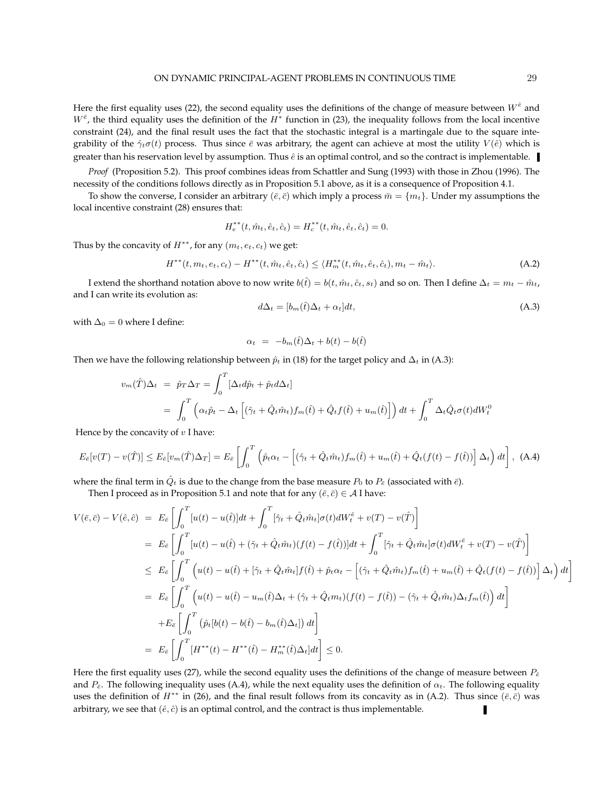Here the first equality uses (22), the second equality uses the definitions of the change of measure between  $W^{\hat{e}}$  and  $W^{\bar{e}}$ , the third equality uses the definition of the  $H^*$  function in (23), the inequality follows from the local incentive constraint (24), and the final result uses the fact that the stochastic integral is a martingale due to the square integrability of the  $\hat{\gamma}_t\sigma(t)$  process. Thus since  $\bar{e}$  was arbitrary, the agent can achieve at most the utility  $V(\hat{e})$  which is greater than his reservation level by assumption. Thus  $\hat{e}$  is an optimal control, and so the contract is implementable.

*Proof* (Proposition 5.2). This proof combines ideas from Schattler and Sung (1993) with those in Zhou (1996). The necessity of the conditions follows directly as in Proposition 5.1 above, as it is a consequence of Proposition 4.1.

To show the converse, I consider an arbitrary ( $\bar{e}, \bar{c}$ ) which imply a process  $\bar{m} = \{m_t\}$ . Under my assumptions the local incentive constraint (28) ensures that:

$$
H_e^{**}(t, \hat{m}_t, \hat{e}_t, \hat{c}_t) = H_e^{**}(t, \hat{m}_t, \hat{e}_t, \hat{c}_t) = 0.
$$

Thus by the concavity of  $H^{**}$ , for any  $(m_t, e_t, c_t)$  we get:

$$
H^{**}(t, m_t, e_t, c_t) - H^{**}(t, \hat{m}_t, \hat{e}_t, \hat{c}_t) \le \langle H_m^{**}(t, \hat{m}_t, \hat{e}_t, \hat{c}_t), m_t - \hat{m}_t \rangle.
$$
 (A.2)

I extend the shorthand notation above to now write  $b(\hat{t}) = b(t, \hat{m}_t, \hat{c}_t, s_t)$  and so on. Then I define  $\Delta_t = m_t - \hat{m}_t$ , and I can write its evolution as:

$$
d\Delta_t = [b_m(\hat{t})\Delta_t + \alpha_t]dt,\tag{A.3}
$$

with  $\Delta_0=0$  where I define:

$$
\alpha_t = -b_m(\hat{t})\Delta_t + b(t) - b(\hat{t})
$$

Then we have the following relationship between  $\hat{p}_t$  in (18) for the target policy and  $\Delta_t$  in (A.3):

$$
v_m(\hat{T})\Delta_t = \hat{p}_T \Delta_T = \int_0^T \left[\Delta_t d\hat{p}_t + \hat{p}_t d\Delta_t\right]
$$
  
= 
$$
\int_0^T \left(\alpha_t \hat{p}_t - \Delta_t \left[ (\hat{\gamma}_t + \hat{Q}_t \hat{m}_t) f_m(\hat{t}) + \hat{Q}_t f(\hat{t}) + u_m(\hat{t}) \right] \right) dt + \int_0^T \Delta_t \hat{Q}_t \sigma(t) dW_t^0
$$

Hence by the concavity of  $v$  I have:

$$
E_{\bar{e}}[v(T) - v(\hat{T})] \le E_{\bar{e}}[v_m(\hat{T})\Delta_T] = E_{\bar{e}}\left[\int_0^T \left(\hat{p}_t\alpha_t - \left[(\hat{\gamma}_t + \hat{Q}_t\hat{m}_t)f_m(\hat{t}) + u_m(\hat{t}) + \hat{Q}_t(f(t) - f(\hat{t}))\right]\Delta_t\right)dt\right],
$$
 (A.4)

where the final term in  $\hat{Q}_t$  is due to the change from the base measure  $P_0$  to  $P_{\bar{e}}$  (associated with  $\bar{e}$ ).

Then I proceed as in Proposition 5.1 and note that for any  $(\bar{e}, \bar{c}) \in A$  I have:

$$
V(\bar{e}, \bar{c}) - V(\hat{e}, \hat{c}) = E_{\bar{e}} \left[ \int_0^T [u(t) - u(\hat{t})]dt + \int_0^T [\hat{\gamma}_t + \hat{Q}_t \hat{m}_t] \sigma(t) dW_t^{\hat{e}} + v(T) - v(\hat{T}) \right]
$$
  
\n
$$
= E_{\bar{e}} \left[ \int_0^T [u(t) - u(\hat{t}) + (\hat{\gamma}_t + \hat{Q}_t \hat{m}_t) (f(t) - f(\hat{t}))] dt + \int_0^T [\hat{\gamma}_t + \hat{Q}_t \hat{m}_t] \sigma(t) dW_t^{\bar{e}} + v(T) - v(\hat{T}) \right]
$$
  
\n
$$
\leq E_{\bar{e}} \left[ \int_0^T \left( u(t) - u(\hat{t}) + [\hat{\gamma}_t + \hat{Q}_t \hat{m}_t] f(\hat{t}) + \hat{p}_t \alpha_t - \left[ (\hat{\gamma}_t + \hat{Q}_t \hat{m}_t) f_m(\hat{t}) + u_m(\hat{t}) + \hat{Q}_t (f(t) - f(\hat{t})) \right] \Delta_t \right) dt \right]
$$
  
\n
$$
= E_{\bar{e}} \left[ \int_0^T \left( u(t) - u(\hat{t}) - u_m(\hat{t}) \Delta_t + (\hat{\gamma}_t + \hat{Q}_t m_t) (f(t) - f(\hat{t})) - (\hat{\gamma}_t + \hat{Q}_t \hat{m}_t) \Delta_t f_m(\hat{t}) \right) dt \right]
$$
  
\n
$$
+ E_{\bar{e}} \left[ \int_0^T (\hat{p}_t [b(t) - b(\hat{t}) - b_m(\hat{t}) \Delta_t)] dt \right]
$$
  
\n
$$
= E_{\bar{e}} \left[ \int_0^T [H^{**}(t) - H^{**}(\hat{t}) - H^{**}_m(\hat{t}) \Delta_t] dt \right] \leq 0.
$$

Here the first equality uses (27), while the second equality uses the definitions of the change of measure between  $P_{\hat{e}}$ and  $P_{\epsilon}$ . The following inequality uses (A.4), while the next equality uses the definition of  $\alpha_t$ . The following equality uses the definition of  $H^{**}$  in (26), and the final result follows from its concavity as in (A.2). Thus since  $(\bar{e}, \bar{c})$  was arbitrary, we see that  $(\hat{e}, \hat{c})$  is an optimal control, and the contract is thus implementable.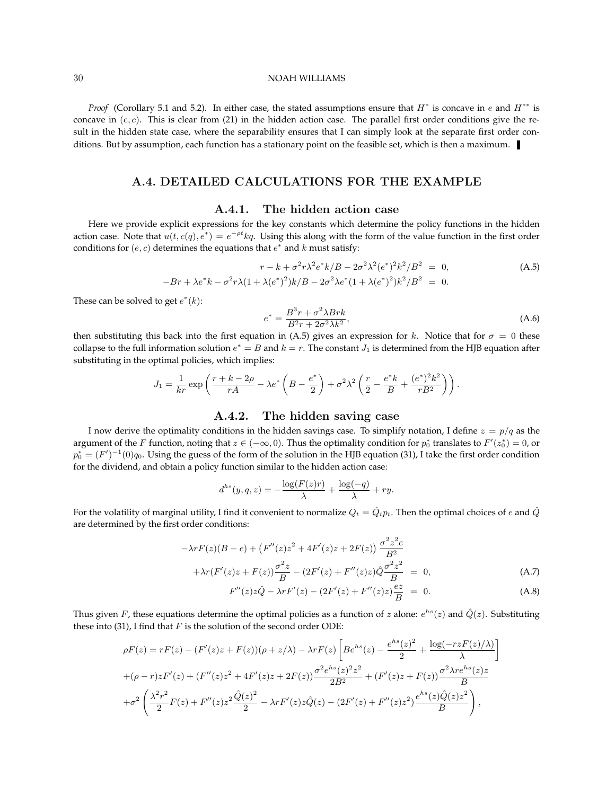*Proof* (Corollary 5.1 and 5.2). In either case, the stated assumptions ensure that  $H^*$  is concave in e and  $H^{**}$  is concave in  $(e, c)$ . This is clear from (21) in the hidden action case. The parallel first order conditions give the result in the hidden state case, where the separability ensures that I can simply look at the separate first order conditions. But by assumption, each function has a stationary point on the feasible set, which is then a maximum.

# A.4. DETAILED CALCULATIONS FOR THE EXAMPLE

# A.4.1. The hidden action case

Here we provide explicit expressions for the key constants which determine the policy functions in the hidden action case. Note that  $u(t, c(q), e^*) = e^{-\rho t} kq$ . Using this along with the form of the value function in the first order conditions for  $(e, c)$  determines the equations that  $e^*$  and  $k$  must satisfy:

$$
r - k + \sigma^2 r \lambda^2 e^* k / B - 2\sigma^2 \lambda^2 (e^*)^2 k^2 / B^2 = 0,
$$
\n
$$
-Br + \lambda e^* k - \sigma^2 r \lambda (1 + \lambda (e^*)^2) k / B - 2\sigma^2 \lambda e^* (1 + \lambda (e^*)^2) k^2 / B^2 = 0.
$$
\n(A.5)

These can be solved to get  $e^*(k)$ :

$$
e^* = \frac{B^3r + \sigma^2 \lambda Brk}{B^2r + 2\sigma^2 \lambda k^2},\tag{A.6}
$$

then substituting this back into the first equation in (A.5) gives an expression for k. Notice that for  $\sigma = 0$  these collapse to the full information solution  $e^* = B$  and  $k = r$ . The constant  $J_1$  is determined from the HJB equation after substituting in the optimal policies, which implies:

$$
J_1 = \frac{1}{kr} \exp\left(\frac{r + k - 2\rho}{rA} - \lambda e^*\left(B - \frac{e^*}{2}\right) + \sigma^2 \lambda^2 \left(\frac{r}{2} - \frac{e^*k}{B} + \frac{(e^*)^2 k^2}{rB^2}\right)\right).
$$

# A.4.2. The hidden saving case

I now derive the optimality conditions in the hidden savings case. To simplify notation, I define  $z = p/q$  as the argument of the F function, noting that  $z \in (-\infty, 0)$ . Thus the optimality condition for  $p_0^*$  translates to  $F'(z_0^*) = 0$ , or  $p_0^* = (F')^{-1}(0)q_0$ . Using the guess of the form of the solution in the HJB equation (31), I take the first order condition for the dividend, and obtain a policy function similar to the hidden action case:

$$
d^{hs}(y, q, z) = -\frac{\log(F(z)r)}{\lambda} + \frac{\log(-q)}{\lambda} + ry.
$$

For the volatility of marginal utility, I find it convenient to normalize  $Q_t = \hat{Q}_t p_t$ . Then the optimal choices of e and  $\hat{Q}$ are determined by the first order conditions:

$$
-\lambda r F(z)(B - e) + (F''(z)z^{2} + 4F'(z)z + 2F(z)) \frac{\sigma^{2} z^{2} e}{B^{2}}
$$
  
 
$$
+\lambda r(F'(z)z + F(z)) \frac{\sigma^{2} z}{B} - (2F'(z) + F''(z)z) \hat{Q} \frac{\sigma^{2} z^{2}}{B} = 0,
$$
 (A.7)

$$
F''(z)z\hat{Q} - \lambda r F'(z) - (2F'(z) + F''(z)z)\frac{ez}{B} = 0.
$$
 (A.8)

Thus given F, these equations determine the optimal policies as a function of z alone:  $e^{hs}(z)$  and  $\hat{Q}(z)$ . Substituting these into (31), I find that  $F$  is the solution of the second order ODE:

$$
\rho F(z) = rF(z) - (F'(z)z + F(z))(\rho + z/\lambda) - \lambda rF(z) \left[ Be^{hs}(z) - \frac{e^{hs}(z)^2}{2} + \frac{\log(-rzF(z)/\lambda)}{\lambda} \right]
$$
  
+ (\rho - r)zF'(z) + (F''(z)z<sup>2</sup> + 4F'(z)z + 2F(z))\frac{\sigma^2 e^{hs}(z)^2 z^2}{2B^2} + (F'(z)z + F(z))\frac{\sigma^2 \lambda r e^{hs}(z)z}{B}  
+ \sigma^2 \left( \frac{\lambda^2 r^2}{2}F(z) + F''(z)z^2 \frac{\hat{Q}(z)^2}{2} - \lambda rF'(z)z\hat{Q}(z) - (2F'(z) + F''(z)z^2) \frac{e^{hs}(z)\hat{Q}(z)z^2}{B} \right),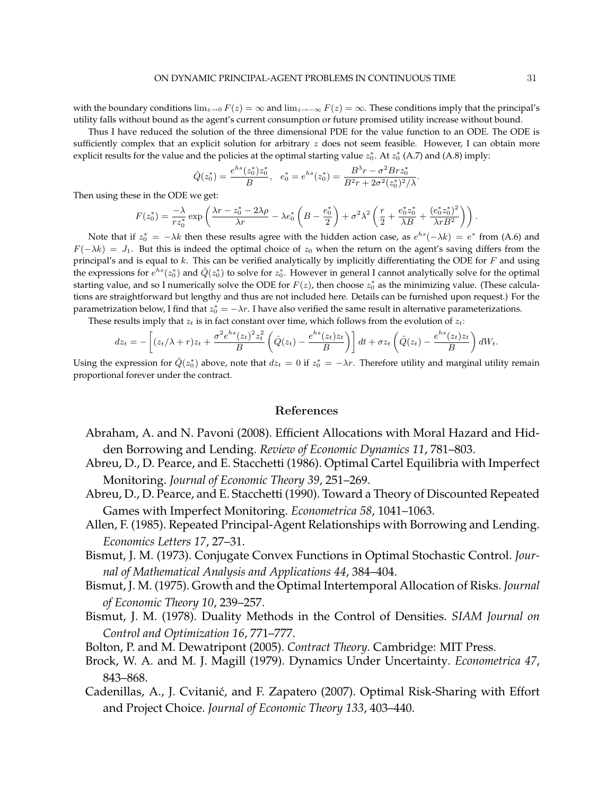with the boundary conditions  $\lim_{z\to 0} F(z) = \infty$  and  $\lim_{z\to -\infty} F(z) = \infty$ . These conditions imply that the principal's utility falls without bound as the agent's current consumption or future promised utility increase without bound.

Thus I have reduced the solution of the three dimensional PDE for the value function to an ODE. The ODE is sufficiently complex that an explicit solution for arbitrary z does not seem feasible. However, I can obtain more explicit results for the value and the policies at the optimal starting value  $z_0^*$ . At  $z_0^*$  (A.7) and (A.8) imply:

$$
\hat{Q}(z_0^*) = \frac{e^{hs}(z_0^*)z_0^*}{B}, \quad e_0^* = e^{hs}(z_0^*) = \frac{B^3r - \sigma^2 Br z_0^*}{B^2r + 2\sigma^2(z_0^*)^2/\lambda}.
$$

Then using these in the ODE we get:

$$
F(z_0^*) = \frac{-\lambda}{rz_0^*} \exp\left(\frac{\lambda r - z_0^* - 2\lambda \rho}{\lambda r} - \lambda e_0^*\left(B - \frac{e_0^*}{2}\right) + \sigma^2 \lambda^2 \left(\frac{r}{2} + \frac{e_0^* z_0^*}{\lambda B} + \frac{(e_0^* z_0^*)^2}{\lambda r B^2}\right)\right).
$$

Note that if  $z_0^* = -\lambda k$  then these results agree with the hidden action case, as  $e^{hs}(-\lambda k) = e^*$  from (A.6) and  $F(-\lambda k) = J_1$ . But this is indeed the optimal choice of  $z_0$  when the return on the agent's saving differs from the principal's and is equal to  $k$ . This can be verified analytically by implicitly differentiating the ODE for  $F$  and using the expressions for  $e^{hs}(z_0^*)$  and  $\hat{Q}(z_0^*)$  to solve for  $z_0^*$ . However in general I cannot analytically solve for the optimal starting value, and so I numerically solve the ODE for  $F(z)$ , then choose  $z_0^*$  as the minimizing value. (These calculations are straightforward but lengthy and thus are not included here. Details can be furnished upon request.) For the parametrization below, I find that  $z_0^* = -\lambda r$ . I have also verified the same result in alternative parameterizations.

These results imply that  $z_t$  is in fact constant over time, which follows from the evolution of  $z_t$ : .<br>م  $\overline{a}$  $\frac{1}{2}$  $\overline{a}$ 

$$
dz_t = -\left[ (z_t/\lambda + r)z_t + \frac{\sigma^2 e^{hs}(z_t)^2 z_t^2}{B} \left( \hat{Q}(z_t) - \frac{e^{hs}(z_t)z_t}{B} \right) \right] dt + \sigma z_t \left( \hat{Q}(z_t) - \frac{e^{hs}(z_t)z_t}{B} \right) dW_t.
$$

Using the expression for  $\hat{Q}(z_0^*)$  above, note that  $dz_t = 0$  if  $z_0^* = -\lambda r$ . Therefore utility and marginal utility remain proportional forever under the contract.

### References

- Abraham, A. and N. Pavoni (2008). Efficient Allocations with Moral Hazard and Hidden Borrowing and Lending. *Review of Economic Dynamics 11*, 781–803.
- Abreu, D., D. Pearce, and E. Stacchetti (1986). Optimal Cartel Equilibria with Imperfect Monitoring. *Journal of Economic Theory 39*, 251–269.
- Abreu, D., D. Pearce, and E. Stacchetti (1990). Toward a Theory of Discounted Repeated Games with Imperfect Monitoring. *Econometrica 58*, 1041–1063.
- Allen, F. (1985). Repeated Principal-Agent Relationships with Borrowing and Lending. *Economics Letters 17*, 27–31.
- Bismut, J. M. (1973). Conjugate Convex Functions in Optimal Stochastic Control. *Journal of Mathematical Analysis and Applications 44*, 384–404.
- Bismut, J. M. (1975). Growth and the Optimal Intertemporal Allocation of Risks. *Journal of Economic Theory 10*, 239–257.
- Bismut, J. M. (1978). Duality Methods in the Control of Densities. *SIAM Journal on Control and Optimization 16*, 771–777.
- Bolton, P. and M. Dewatripont (2005). *Contract Theory*. Cambridge: MIT Press.
- Brock, W. A. and M. J. Magill (1979). Dynamics Under Uncertainty. *Econometrica 47*, 843–868.
- Cadenillas, A., J. Cvitanić, and F. Zapatero (2007). Optimal Risk-Sharing with Effort and Project Choice. *Journal of Economic Theory 133*, 403–440.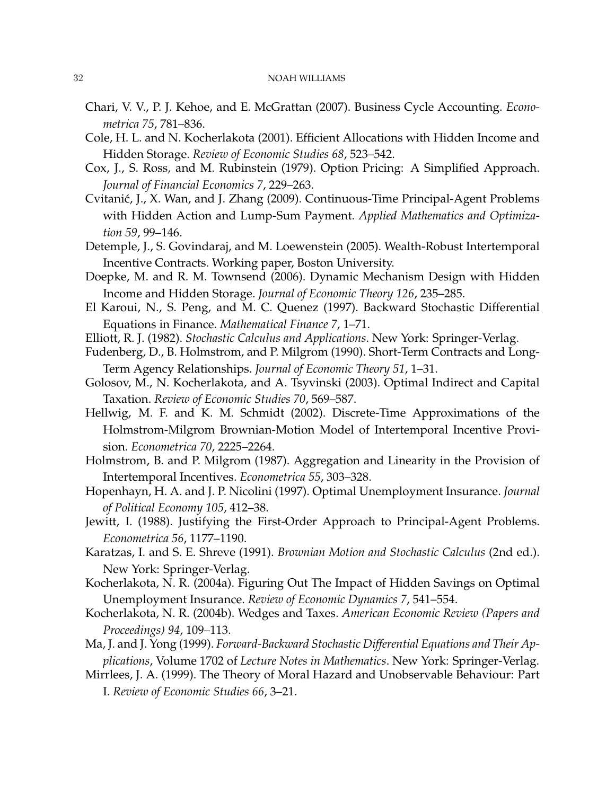- Chari, V. V., P. J. Kehoe, and E. McGrattan (2007). Business Cycle Accounting. *Econometrica 75*, 781–836.
- Cole, H. L. and N. Kocherlakota (2001). Efficient Allocations with Hidden Income and Hidden Storage. *Review of Economic Studies 68*, 523–542.
- Cox, J., S. Ross, and M. Rubinstein (1979). Option Pricing: A Simplified Approach. *Journal of Financial Economics 7*, 229–263.
- Cvitanic, J., X. Wan, and J. Zhang (2009). Continuous-Time Principal-Agent Problems ´ with Hidden Action and Lump-Sum Payment. *Applied Mathematics and Optimization 59*, 99–146.
- Detemple, J., S. Govindaraj, and M. Loewenstein (2005). Wealth-Robust Intertemporal Incentive Contracts. Working paper, Boston University.
- Doepke, M. and R. M. Townsend (2006). Dynamic Mechanism Design with Hidden Income and Hidden Storage. *Journal of Economic Theory 126*, 235–285.
- El Karoui, N., S. Peng, and M. C. Quenez (1997). Backward Stochastic Differential Equations in Finance. *Mathematical Finance 7*, 1–71.
- Elliott, R. J. (1982). *Stochastic Calculus and Applications*. New York: Springer-Verlag.
- Fudenberg, D., B. Holmstrom, and P. Milgrom (1990). Short-Term Contracts and Long-Term Agency Relationships. *Journal of Economic Theory 51*, 1–31.
- Golosov, M., N. Kocherlakota, and A. Tsyvinski (2003). Optimal Indirect and Capital Taxation. *Review of Economic Studies 70*, 569–587.
- Hellwig, M. F. and K. M. Schmidt (2002). Discrete-Time Approximations of the Holmstrom-Milgrom Brownian-Motion Model of Intertemporal Incentive Provision. *Econometrica 70*, 2225–2264.
- Holmstrom, B. and P. Milgrom (1987). Aggregation and Linearity in the Provision of Intertemporal Incentives. *Econometrica 55*, 303–328.
- Hopenhayn, H. A. and J. P. Nicolini (1997). Optimal Unemployment Insurance. *Journal of Political Economy 105*, 412–38.
- Jewitt, I. (1988). Justifying the First-Order Approach to Principal-Agent Problems. *Econometrica 56*, 1177–1190.
- Karatzas, I. and S. E. Shreve (1991). *Brownian Motion and Stochastic Calculus* (2nd ed.). New York: Springer-Verlag.
- Kocherlakota, N. R. (2004a). Figuring Out The Impact of Hidden Savings on Optimal Unemployment Insurance. *Review of Economic Dynamics 7*, 541–554.
- Kocherlakota, N. R. (2004b). Wedges and Taxes. *American Economic Review (Papers and Proceedings) 94*, 109–113.
- Ma, J. and J. Yong (1999). *Forward-Backward Stochastic Differential Equations and Their Applications*, Volume 1702 of *Lecture Notes in Mathematics*. New York: Springer-Verlag.
- Mirrlees, J. A. (1999). The Theory of Moral Hazard and Unobservable Behaviour: Part I. *Review of Economic Studies 66*, 3–21.